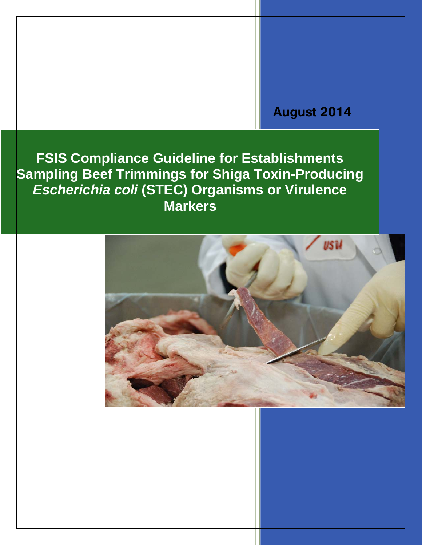# **August 2014**

**FSIS Compliance Guideline for Establishments Sampling Beef Trimmings for Shiga Toxin-Producing**  *Escherichia coli* **(STEC) Organisms or Virulence Markers**

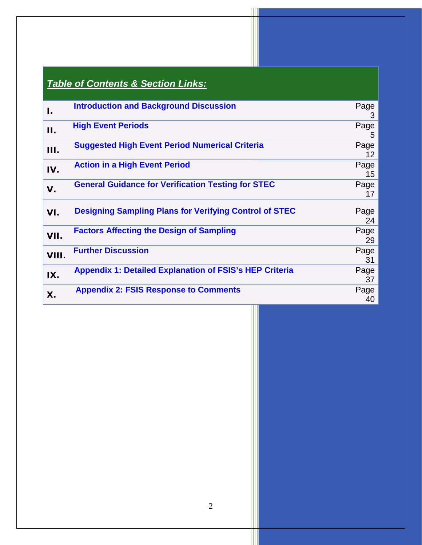<span id="page-1-1"></span><span id="page-1-0"></span>

|            | <b>Table of Contents &amp; Section Links:</b>                  |            |
|------------|----------------------------------------------------------------|------------|
| I.         | <b>Introduction and Background Discussion</b>                  | Page<br>3  |
| <b>II.</b> | <b>High Event Periods</b>                                      | Page<br>5  |
| Ш.         | <b>Suggested High Event Period Numerical Criteria</b>          | Page<br>12 |
| IV.        | <b>Action in a High Event Period</b>                           | Page<br>15 |
| V.         | <b>General Guidance for Verification Testing for STEC</b>      | Page<br>17 |
| VI.        | <b>Designing Sampling Plans for Verifying Control of STEC</b>  | Page<br>24 |
| VII.       | <b>Factors Affecting the Design of Sampling</b>                | Page<br>29 |
| VIII.      | <b>Further Discussion</b>                                      | Page<br>31 |
| IX.        | <b>Appendix 1: Detailed Explanation of FSIS's HEP Criteria</b> | Page<br>37 |
| Χ.         | <b>Appendix 2: FSIS Response to Comments</b>                   | Page<br>40 |

 $\parallel$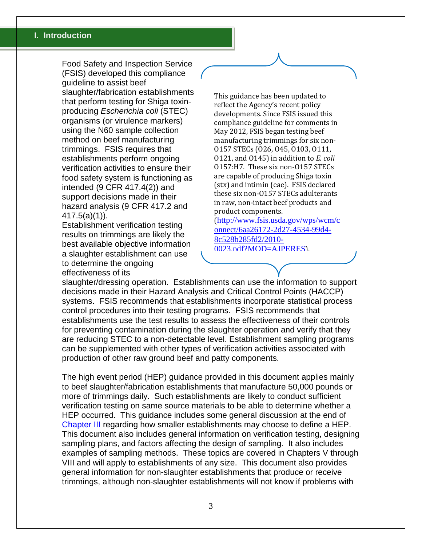Food Safety and Inspection Service (FSIS) developed this compliance guideline to assist beef slaughter/fabrication establishments that perform testing for Shiga toxinproducing *Escherichia coli* (STEC) organisms (or virulence markers) using the N60 sample collection method on beef manufacturing trimmings. FSIS requires that establishments perform ongoing verification activities to ensure their food safety system is functioning as intended (9 CFR 417.4(2)) and support decisions made in their hazard analysis (9 CFR 417.2 and 417.5(a)(1)).

Establishment verification testing results on trimmings are likely the best available objective information a slaughter establishment can use to determine the ongoing effectiveness of its

This guidance has been updated to reflect the Agency's recent policy developments. Since FSIS issued this compliance guideline for comments in May 2012, FSIS began testing beef manufacturing trimmings for six non-O157 STECs (O26, O45, O103, O111, O121, and O145) in addition to *E. coli* O157:H7. These six non-O157 STECs are capable of producing Shiga toxin (stx) and intimin (eae). FSIS declared these six non-O157 STECs adulterants in raw, non-intact beef products and product components.

([http://www.fsis.usda.gov/wps/wcm/c](http://www.fsis.usda.gov/wps/wcm/connect/6aa26172-2d27-4534-99d4-8c528b285fd2/2010-0023.pdf?MOD=AJPERES) [onnect/6aa26172-2d27-4534-99d4-](http://www.fsis.usda.gov/wps/wcm/connect/6aa26172-2d27-4534-99d4-8c528b285fd2/2010-0023.pdf?MOD=AJPERES) [8c528b285fd2/2010-](http://www.fsis.usda.gov/wps/wcm/connect/6aa26172-2d27-4534-99d4-8c528b285fd2/2010-0023.pdf?MOD=AJPERES) [0023.pdf?MOD=AJPERES](http://www.fsis.usda.gov/wps/wcm/connect/6aa26172-2d27-4534-99d4-8c528b285fd2/2010-0023.pdf?MOD=AJPERES)).

slaughter/dressing operation. Establishments can use the information to support decisions made in their Hazard Analysis and Critical Control Points (HACCP) systems. FSIS recommends that establishments incorporate statistical process control procedures into their testing programs. FSIS recommends that establishments use the test results to assess the effectiveness of their controls for preventing contamination during the slaughter operation and verify that they are reducing STEC to a non-detectable level. Establishment sampling programs can be supplemented with other types of verification activities associated with production of other raw ground beef and patty components.

The high event period (HEP) guidance provided in this document applies mainly to beef slaughter/fabrication establishments that manufacture 50,000 pounds or more of trimmings daily. Such establishments are likely to conduct sufficient verification testing on same source materials to be able to determine whether a HEP occurred. This guidance includes some general discussion at the end of [Chapter III](#page-11-0) regarding how smaller establishments may choose to define a HEP. This document also includes general information on verification testing, designing sampling plans, and factors affecting the design of sampling. It also includes examples of sampling methods. These topics are covered in Chapters V through VIII and will apply to establishments of any size. This document also provides general information for non-slaughter establishments that produce or receive trimmings, although non-slaughter establishments will not know if problems with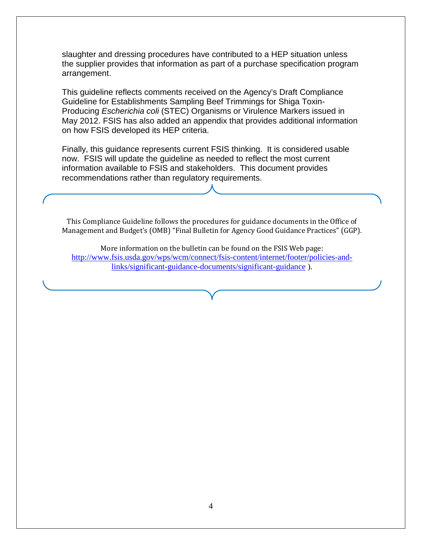slaughter and dressing procedures have contributed to a HEP situation unless the supplier provides that information as part of a purchase specification program arrangement.

This guideline reflects comments received on the Agency's Draft Compliance Guideline for Establishments Sampling Beef Trimmings for Shiga Toxin-Producing *Escherichia coli* (STEC) Organisms or Virulence Markers issued in May 2012. FSIS has also added an appendix that provides additional information on how FSIS developed its HEP criteria.

Finally, this guidance represents current FSIS thinking. It is considered usable now. FSIS will update the guideline as needed to reflect the most current information available to FSIS and stakeholders. This document provides recommendations rather than regulatory requirements.

This Compliance Guideline follows the procedures for guidance documents in the Office of Management and Budget's (OMB) "Final Bulletin for Agency Good Guidance Practices" (GGP).

More information on the bulletin can be found on the FSIS Web page: [http://www.fsis.usda.gov/wps/wcm/connect/fsis-content/internet/footer/policies-and](http://www.fsis.usda.gov/wps/wcm/connect/fsis-content/internet/footer/policies-and-links/significant-guidance-documents/significant-guidance)[links/significant-guidance-documents/significant-guidance](http://www.fsis.usda.gov/wps/wcm/connect/fsis-content/internet/footer/policies-and-links/significant-guidance-documents/significant-guidance) ).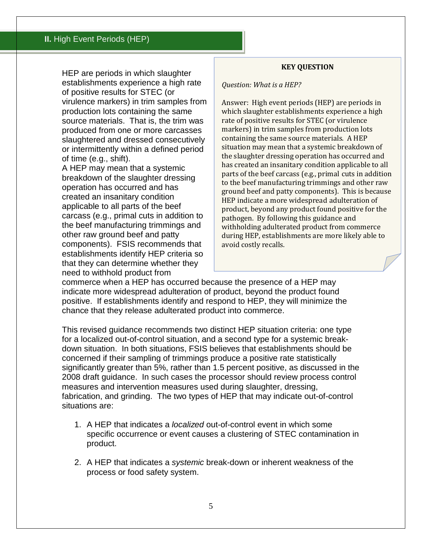<span id="page-4-0"></span>HEP are periods in which slaughter establishments experience a high rate of positive results for STEC (or virulence markers) in trim samples from production lots containing the same source materials. That is, the trim was produced from one or more carcasses slaughtered and dressed consecutively or intermittently within a defined period of time (e.g., shift).

A HEP may mean that a systemic breakdown of the slaughter dressing operation has occurred and has created an insanitary condition applicable to all parts of the beef carcass (e.g., primal cuts in addition to the beef manufacturing trimmings and other raw ground beef and patty components). FSIS recommends that establishments identify HEP criteria so that they can determine whether they need to withhold product from

#### **KEY QUESTION**

*Question: What is a HEP?*

Answer: High event periods (HEP) are periods in which slaughter establishments experience a high rate of positive results for STEC (or virulence markers) in trim samples from production lots containing the same source materials. A HEP situation may mean that a systemic breakdown of the slaughter dressing operation has occurred and has created an insanitary condition applicable to all parts of the beef carcass (e.g., primal cuts in addition to the beef manufacturing trimmings and other raw ground beef and patty components). This is because HEP indicate a more widespread adulteration of product, beyond any product found positive for the pathogen. By following this guidance and withholding adulterated product from commerce during HEP, establishments are more likely able to avoid costly recalls.

commerce when a HEP has occurred because the presence of a HEP may indicate more widespread adulteration of product, beyond the product found positive. If establishments identify and respond to HEP, they will minimize the chance that they release adulterated product into commerce.

This revised guidance recommends two distinct HEP situation criteria: one type for a localized out-of-control situation, and a second type for a systemic breakdown situation. In both situations, FSIS believes that establishments should be concerned if their sampling of trimmings produce a positive rate statistically significantly greater than 5%, rather than 1.5 percent positive, as discussed in the 2008 draft guidance. In such cases the processor should review process control measures and intervention measures used during slaughter, dressing, fabrication, and grinding. The two types of HEP that may indicate out-of-control situations are:

- 1. A HEP that indicates a *localized* out-of-control event in which some specific occurrence or event causes a clustering of STEC contamination in product.
- 2. A HEP that indicates a *systemic* break-down or inherent weakness of the process or food safety system.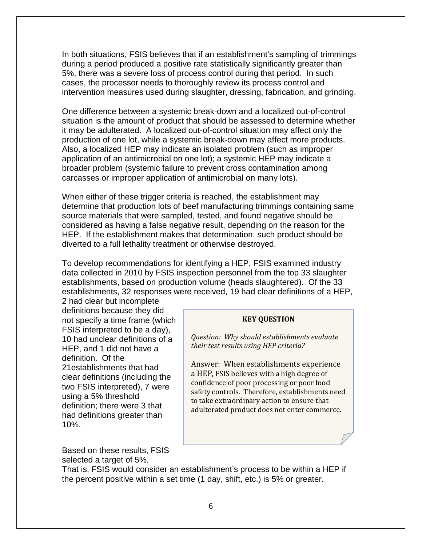In both situations, FSIS believes that if an establishment's sampling of trimmings during a period produced a positive rate statistically significantly greater than 5%, there was a severe loss of process control during that period. In such cases, the processor needs to thoroughly review its process control and intervention measures used during slaughter, dressing, fabrication, and grinding.

One difference between a systemic break-down and a localized out-of-control situation is the amount of product that should be assessed to determine whether it may be adulterated. A localized out-of-control situation may affect only the production of one lot, while a systemic break-down may affect more products. Also, a localized HEP may indicate an isolated problem (such as improper application of an antimicrobial on one lot); a systemic HEP may indicate a broader problem (systemic failure to prevent cross contamination among carcasses or improper application of antimicrobial on many lots).

When either of these trigger criteria is reached, the establishment may determine that production lots of beef manufacturing trimmings containing same source materials that were sampled, tested, and found negative should be considered as having a false negative result, depending on the reason for the HEP. If the establishment makes that determination, such product should be diverted to a full lethality treatment or otherwise destroyed.

To develop recommendations for identifying a HEP, FSIS examined industry data collected in 2010 by FSIS inspection personnel from the top 33 slaughter establishments, based on production volume (heads slaughtered). Of the 33 establishments, 32 responses were received, 19 had clear definitions of a HEP,

2 had clear but incomplete definitions because they did not specify a time frame (which FSIS interpreted to be a day), 10 had unclear definitions of a HEP, and 1 did not have a definition. Of the 21establishments that had clear definitions (including the two FSIS interpreted), 7 were using a 5% threshold definition; there were 3 that had definitions greater than 10%.

Based on these results, FSIS selected a target of 5%.

#### **KEY QUESTION**

*Question: Why should establishments evaluate their test results using HEP criteria?*

Answer: When establishments experience a HEP, FSIS believes with a high degree of confidence of poor processing or poor food safety controls. Therefore, establishments need to take extraordinary action to ensure that adulterated product does not enter commerce.

That is, FSIS would consider an establishment's process to be within a HEP if the percent positive within a set time (1 day, shift, etc.) is 5% or greater.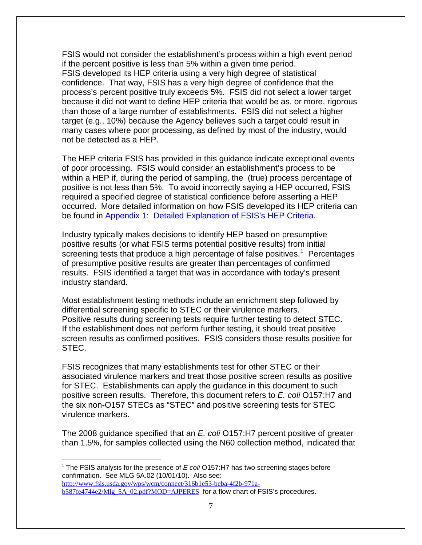FSIS would not consider the establishment's process within a high event period if the percent positive is less than 5% within a given time period. FSIS developed its HEP criteria using a very high degree of statistical confidence. That way, FSIS has a very high degree of confidence that the process's percent positive truly exceeds 5%. FSIS did not select a lower target because it did not want to define HEP criteria that would be as, or more, rigorous than those of a large number of establishments. FSIS did not select a higher target (e.g., 10%) because the Agency believes such a target could result in many cases where poor processing, as defined by most of the industry, would not be detected as a HEP.

The HEP criteria FSIS has provided in this guidance indicate exceptional events of poor processing. FSIS would consider an establishment's process to be within a HEP if, during the period of sampling, the (true) process percentage of positive is not less than 5%. To avoid incorrectly saying a HEP occurred, FSIS required a specified degree of statistical confidence before asserting a HEP occurred. More detailed information on how FSIS developed its HEP criteria can be found in [Appendix 1: Detailed Explanation of FSIS's HEP Criteria.](#page-37-0)

Industry typically makes decisions to identify HEP based on presumptive positive results (or what FSIS terms potential positive results) from initial screening tests that produce a high percentage of false positives.<sup>[1](#page-6-0)</sup> Percentages of presumptive positive results are greater than percentages of confirmed results. FSIS identified a target that was in accordance with today's present industry standard.

Most establishment testing methods include an enrichment step followed by differential screening specific to STEC or their virulence markers. Positive results during screening tests require further testing to detect STEC. If the establishment does not perform further testing, it should treat positive screen results as confirmed positives. FSIS considers those results positive for STEC.

FSIS recognizes that many establishments test for other STEC or their associated virulence markers and treat those positive screen results as positive for STEC. Establishments can apply the guidance in this document to such positive screen results. Therefore, this document refers to *E. coli* O157:H7 and the six non-O157 STECs as "STEC" and positive screening tests for STEC virulence markers.

The 2008 guidance specified that an *E. coli* O157:H7 percent positive of greater than 1.5%, for samples collected using the N60 collection method, indicated that

<span id="page-6-0"></span><sup>1</sup> The FSIS analysis for the presence of *E coli* O157:H7 has two screening stages before confirmation. See MLG 5A.02 (10/01/10). Also see: [http://www.fsis.usda.gov/wps/wcm/connect/316b1e53-beba-4f2b-971a](http://www.fsis.usda.gov/wps/wcm/connect/316b1e53-beba-4f2b-971a-b587fe4744e2/Mlg_5A_02.pdf?MOD=AJPERES)[b587fe4744e2/Mlg\\_5A\\_02.pdf?MOD=AJPERES](http://www.fsis.usda.gov/wps/wcm/connect/316b1e53-beba-4f2b-971a-b587fe4744e2/Mlg_5A_02.pdf?MOD=AJPERES) for a flow chart of FSIS's procedures.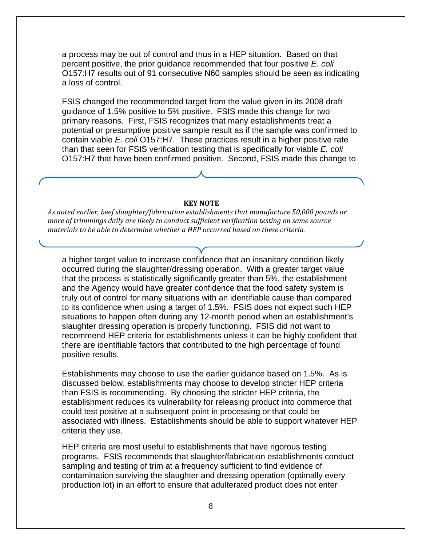a process may be out of control and thus in a HEP situation. Based on that percent positive, the prior guidance recommended that four positive *E. coli* O157:H7 results out of 91 consecutive N60 samples should be seen as indicating a loss of control.

FSIS changed the recommended target from the value given in its 2008 draft guidance of 1.5% positive to 5% positive. FSIS made this change for two primary reasons. First, FSIS recognizes that many establishments treat a potential or presumptive positive sample result as if the sample was confirmed to contain viable *E. coli* O157:H7. These practices result in a higher positive rate than that seen for FSIS verification testing that is specifically for viable *E. coli* O157:H7 that have been confirmed positive. Second, FSIS made this change to

#### **KEY NOTE**

*As noted earlier, beef slaughter/fabrication establishments that manufacture 50,000 pounds or more of trimmings daily are likely to conduct sufficient verification testing on same source materials to be able to determine whether a HEP occurred based on these criteria.*

a higher target value to increase confidence that an insanitary condition likely occurred during the slaughter/dressing operation. With a greater target value that the process is statistically significantly greater than 5%, the establishment and the Agency would have greater confidence that the food safety system is truly out of control for many situations with an identifiable cause than compared to its confidence when using a target of 1.5%. FSIS does not expect such HEP situations to happen often during any 12-month period when an establishment's slaughter dressing operation is properly functioning. FSIS did not want to recommend HEP criteria for establishments unless it can be highly confident that there are identifiable factors that contributed to the high percentage of found positive results.

Establishments may choose to use the earlier guidance based on 1.5%. As is discussed below, establishments may choose to develop stricter HEP criteria than FSIS is recommending. By choosing the stricter HEP criteria, the establishment reduces its vulnerability for releasing product into commerce that could test positive at a subsequent point in processing or that could be associated with illness. Establishments should be able to support whatever HEP criteria they use.

HEP criteria are most useful to establishments that have rigorous testing programs. FSIS recommends that slaughter/fabrication establishments conduct sampling and testing of trim at a frequency sufficient to find evidence of contamination surviving the slaughter and dressing operation (optimally every production lot) in an effort to ensure that adulterated product does not enter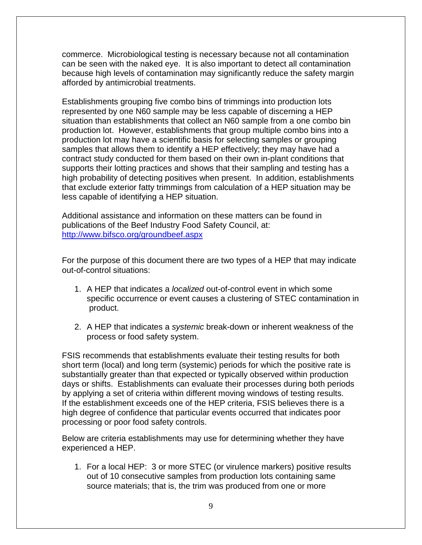commerce. Microbiological testing is necessary because not all contamination can be seen with the naked eye. It is also important to detect all contamination because high levels of contamination may significantly reduce the safety margin afforded by antimicrobial treatments.

Establishments grouping five combo bins of trimmings into production lots represented by one N60 sample may be less capable of discerning a HEP situation than establishments that collect an N60 sample from a one combo bin production lot. However, establishments that group multiple combo bins into a production lot may have a scientific basis for selecting samples or grouping samples that allows them to identify a HEP effectively; they may have had a contract study conducted for them based on their own in-plant conditions that supports their lotting practices and shows that their sampling and testing has a high probability of detecting positives when present. In addition, establishments that exclude exterior fatty trimmings from calculation of a HEP situation may be less capable of identifying a HEP situation.

Additional assistance and information on these matters can be found in publications of the Beef Industry Food Safety Council, at: <http://www.bifsco.org/groundbeef.aspx>

For the purpose of this document there are two types of a HEP that may indicate out-of-control situations:

- 1. A HEP that indicates a *localized* out-of-control event in which some specific occurrence or event causes a clustering of STEC contamination in product.
- 2. A HEP that indicates a *systemic* break-down or inherent weakness of the process or food safety system.

FSIS recommends that establishments evaluate their testing results for both short term (local) and long term (systemic) periods for which the positive rate is substantially greater than that expected or typically observed within production days or shifts. Establishments can evaluate their processes during both periods by applying a set of criteria within different moving windows of testing results. If the establishment exceeds one of the HEP criteria, FSIS believes there is a high degree of confidence that particular events occurred that indicates poor processing or poor food safety controls.

Below are criteria establishments may use for determining whether they have experienced a HEP.

1. For a local HEP: 3 or more STEC (or virulence markers) positive results out of 10 consecutive samples from production lots containing same source materials; that is, the trim was produced from one or more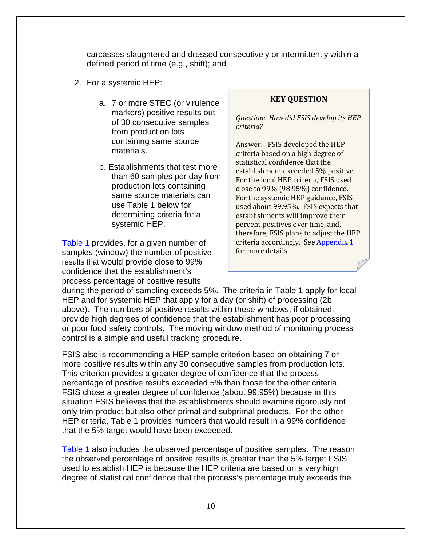carcasses slaughtered and dressed consecutively or intermittently within a defined period of time (e.g., shift); and

- 2. For a systemic HEP:
	- a. 7 or more STEC (or virulence markers) positive results out of 30 consecutive samples from production lots containing same source materials.
	- b. Establishments that test more than 60 samples per day from production lots containing same source materials can use Table 1 below for determining criteria for a systemic HEP.

[Table 1](#page-10-0) provides, for a given number of samples (window) the number of positive results that would provide close to 99% confidence that the establishment's process percentage of positive results

### **KEY QUESTION**

*Question: How did FSIS develop its HEP criteria?*

Answer: FSIS developed the HEP criteria based on a high degree of statistical confidence that the establishment exceeded 5% positive. For the local HEP criteria, FSIS used close to 99% (98.95%) confidence. For the systemic HEP guidance, FSIS used about 99.95%. FSIS expects that establishments will improve their percent positives over time, and, therefore, FSIS plans to adjust the HEP criteria accordingly. See [Appendix 1](#page-37-0) for more details.

during the period of sampling exceeds 5%. The criteria in Table 1 apply for local HEP and for systemic HEP that apply for a day (or shift) of processing (2b above). The numbers of positive results within these windows, if obtained, provide high degrees of confidence that the establishment has poor processing or poor food safety controls. The moving window method of monitoring process control is a simple and useful tracking procedure.

FSIS also is recommending a HEP sample criterion based on obtaining 7 or more positive results within any 30 consecutive samples from production lots. This criterion provides a greater degree of confidence that the process percentage of positive results exceeded 5% than those for the other criteria. FSIS chose a greater degree of confidence (about 99.95%) because in this situation FSIS believes that the establishments should examine rigorously not only trim product but also other primal and subprimal products. For the other HEP criteria, Table 1 provides numbers that would result in a 99% confidence that the 5% target would have been exceeded.

[Table 1](#page-10-0) also includes the observed percentage of positive samples. The reason the observed percentage of positive results is greater than the 5% target FSIS used to establish HEP is because the HEP criteria are based on a very high degree of statistical confidence that the process's percentage truly exceeds the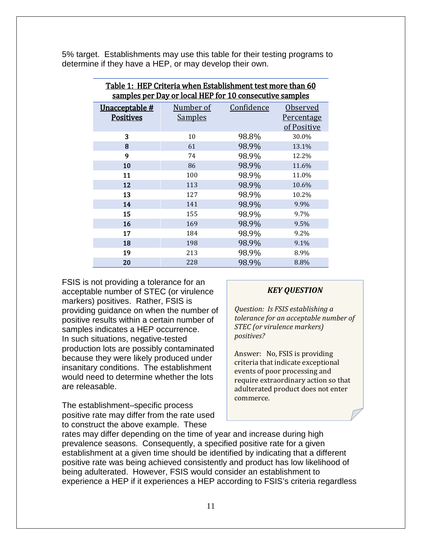<span id="page-10-0"></span>

| Table 1: HEP Criteria when Establishment test more than 60 |                |            |                   |  |  |  |  |  |  |
|------------------------------------------------------------|----------------|------------|-------------------|--|--|--|--|--|--|
| samples per Day or local HEP for 10 consecutive samples    |                |            |                   |  |  |  |  |  |  |
| <u>Unacceptable #</u>                                      | Number of      | Confidence | Observed          |  |  |  |  |  |  |
| <b>Positives</b>                                           | <b>Samples</b> |            | <u>Percentage</u> |  |  |  |  |  |  |
|                                                            |                |            | of Positive       |  |  |  |  |  |  |
| 3                                                          | 10             | 98.8%      | 30.0%             |  |  |  |  |  |  |
| 8                                                          | 61             | 98.9%      | 13.1%             |  |  |  |  |  |  |
| 9                                                          | 74             | 98.9%      | 12.2%             |  |  |  |  |  |  |
| 10                                                         | 86             | 98.9%      | 11.6%             |  |  |  |  |  |  |
| 11                                                         | 100            | 98.9%      | 11.0%             |  |  |  |  |  |  |
| 12                                                         | 113            | 98.9%      | 10.6%             |  |  |  |  |  |  |
| 13                                                         | 127            | 98.9%      | 10.2%             |  |  |  |  |  |  |
| 14                                                         | 141            | 98.9%      | 9.9%              |  |  |  |  |  |  |
| 15                                                         | 155            | 98.9%      | 9.7%              |  |  |  |  |  |  |
| 16                                                         | 169            | 98.9%      | 9.5%              |  |  |  |  |  |  |
| 17                                                         | 184            | 98.9%      | 9.2%              |  |  |  |  |  |  |
| 18                                                         | 198            | 98.9%      | 9.1%              |  |  |  |  |  |  |
| 19                                                         | 213            | 98.9%      | 8.9%              |  |  |  |  |  |  |
| 20                                                         | 228            | 98.9%      | 8.8%              |  |  |  |  |  |  |

5% target. Establishments may use this table for their testing programs to determine if they have a HEP, or may develop their own.

FSIS is not providing a tolerance for an acceptable number of STEC (or virulence markers) positives. Rather, FSIS is providing guidance on when the number of positive results within a certain number of samples indicates a HEP occurrence. In such situations, negative-tested production lots are possibly contaminated because they were likely produced under insanitary conditions. The establishment would need to determine whether the lots are releasable.

The establishment–specific process positive rate may differ from the rate used to construct the above example. These

## *KEY QUESTION*

*Question: Is FSIS establishing a tolerance for an acceptable number of STEC (or virulence markers) positives?* 

Answer: No, FSIS is providing criteria that indicate exceptional events of poor processing and require extraordinary action so that adulterated product does not enter commerce.

rates may differ depending on the time of year and increase during high prevalence seasons. Consequently, a specified positive rate for a given establishment at a given time should be identified by indicating that a different positive rate was being achieved consistently and product has low likelihood of being adulterated. However, FSIS would consider an establishment to experience a HEP if it experiences a HEP according to FSIS's criteria regardless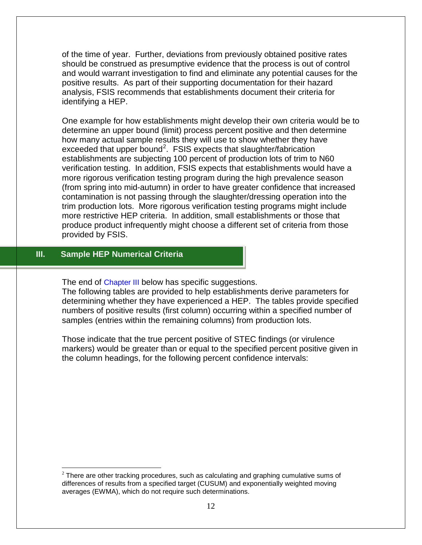of the time of year. Further, deviations from previously obtained positive rates should be construed as presumptive evidence that the process is out of control and would warrant investigation to find and eliminate any potential causes for the positive results. As part of their supporting documentation for their hazard analysis, FSIS recommends that establishments document their criteria for identifying a HEP.

One example for how establishments might develop their own criteria would be to determine an upper bound (limit) process percent positive and then determine how many actual sample results they will use to show whether they have exceeded that upper bound<sup>[2](#page-11-1)</sup>. FSIS expects that slaughter/fabrication establishments are subjecting 100 percent of production lots of trim to N60 verification testing. In addition, FSIS expects that establishments would have a more rigorous verification testing program during the high prevalence season (from spring into mid-autumn) in order to have greater confidence that increased contamination is not passing through the slaughter/dressing operation into the trim production lots. More rigorous verification testing programs might include more restrictive HEP criteria. In addition, small establishments or those that produce product infrequently might choose a different set of criteria from those provided by FSIS.

# <span id="page-11-0"></span>**III. Sample HEP Numerical Criteria**

The end of [Chapter III](#page-11-0) below has specific suggestions.

The following tables are provided to help establishments derive parameters for determining whether they have experienced a HEP. The tables provide specified numbers of positive results (first column) occurring within a specified number of samples (entries within the remaining columns) from production lots.

Those indicate that the true percent positive of STEC findings (or virulence markers) would be greater than or equal to the specified percent positive given in the column headings, for the following percent confidence intervals:

<span id="page-11-1"></span> $2$  There are other tracking procedures, such as calculating and graphing cumulative sums of differences of results from a specified target (CUSUM) and exponentially weighted moving averages (EWMA), which do not require such determinations.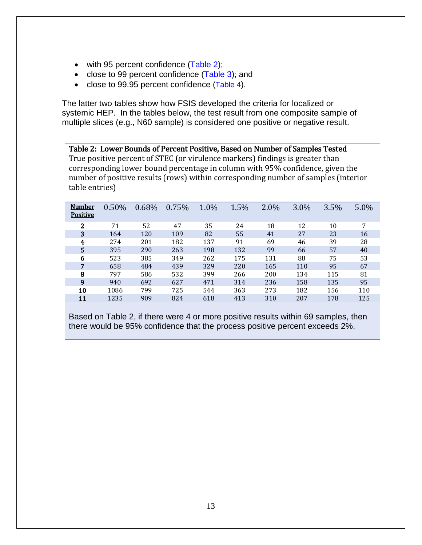- with 95 percent confidence [\(Table 2\)](#page-12-0);
- close to 99 percent confidence [\(Table 3\)](#page-13-0); and
- close to 99.95 percent confidence [\(Table 4\)](#page-13-1).

The latter two tables show how FSIS developed the criteria for localized or systemic HEP. In the tables below, the test result from one composite sample of multiple slices (e.g., N60 sample) is considered one positive or negative result.

<span id="page-12-0"></span>Table 2: Lower Bounds of Percent Positive, Based on Number of Samples Tested True positive percent of STEC (or virulence markers) findings is greater than corresponding lower bound percentage in column with 95% confidence, given the number of positive results (rows) within corresponding number of samples (interior table entries)

| Number<br><b>Positive</b> | 0.50% | 0.68% | 0.75% | 1.0% | 1.5% | 2.0% | 3.0% | 3.5% | 5.0% |
|---------------------------|-------|-------|-------|------|------|------|------|------|------|
| $\mathbf{2}$              | 71    | 52    | 47    | 35   | 24   | 18   | 12   | 10   | 7    |
| 3                         | 164   | 120   | 109   | 82   | 55   | 41   | 27   | 23   | 16   |
| 4                         | 274   | 201   | 182   | 137  | 91   | 69   | 46   | 39   | 28   |
| 5                         | 395   | 290   | 263   | 198  | 132  | 99   | 66   | 57   | 40   |
| 6                         | 523   | 385   | 349   | 262  | 175  | 131  | 88   | 75   | 53   |
| 7                         | 658   | 484   | 439   | 329  | 220  | 165  | 110  | 95   | 67   |
| 8                         | 797   | 586   | 532   | 399  | 266  | 200  | 134  | 115  | 81   |
| 9                         | 940   | 692   | 627   | 471  | 314  | 236  | 158  | 135  | 95   |
| 10                        | 1086  | 799   | 725   | 544  | 363  | 273  | 182  | 156  | 110  |
| 11                        | 1235  | 909   | 824   | 618  | 413  | 310  | 207  | 178  | 125  |

Based on Table 2, if there were 4 or more positive results within 69 samples, then there would be 95% confidence that the process positive percent exceeds 2%.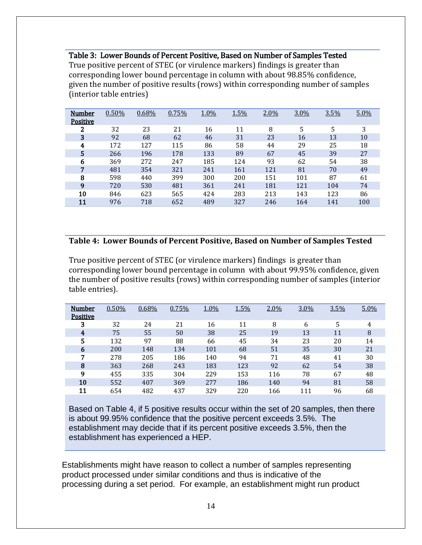<span id="page-13-0"></span>Table 3: Lower Bounds of Percent Positive, Based on Number of Samples Tested True positive percent of STEC (or virulence markers) findings is greater than corresponding lower bound percentage in column with about 98.85% confidence, given the number of positive results (rows) within corresponding number of samples (interior table entries)

| Number          | 0.50% | 0.68% | 0.75% | 1.0% | 1.5% | 2.0% | 3.0% | 3.5% | 5.0% |
|-----------------|-------|-------|-------|------|------|------|------|------|------|
| <b>Positive</b> |       |       |       |      |      |      |      |      |      |
| 2               | 32    | 23    | 21    | 16   | 11   | 8    | 5    | 5    | 3    |
| 3               | 92    | 68    | 62    | 46   | 31   | 23   | 16   | 13   | 10   |
| 4               | 172   | 127   | 115   | 86   | 58   | 44   | 29   | 25   | 18   |
| 5               | 266   | 196   | 178   | 133  | 89   | 67   | 45   | 39   | 27   |
| 6               | 369   | 272   | 247   | 185  | 124  | 93   | 62   | 54   | 38   |
| 7               | 481   | 354   | 321   | 241  | 161  | 121  | 81   | 70   | 49   |
| 8               | 598   | 440   | 399   | 300  | 200  | 151  | 101  | 87   | 61   |
| 9               | 720   | 530   | 481   | 361  | 241  | 181  | 121  | 104  | 74   |
| 10              | 846   | 623   | 565   | 424  | 283  | 213  | 143  | 123  | 86   |
| 11              | 976   | 718   | 652   | 489  | 327  | 246  | 164  | 141  | 100  |

#### <span id="page-13-1"></span>**Table 4: Lower Bounds of Percent Positive, Based on Number of Samples Tested**

True positive percent of STEC (or virulence markers) findings is greater than corresponding lower bound percentage in column with about 99.95% confidence, given the number of positive results (rows) within corresponding number of samples (interior table entries).

| Number          | 0.50% | 0.68% | 0.75% | 1.0% | 1.5% | 2.0% | 3.0% | 3.5% | 5.0% |
|-----------------|-------|-------|-------|------|------|------|------|------|------|
| <b>Positive</b> |       |       |       |      |      |      |      |      |      |
| 3               | 32    | 24    | 21    | 16   | 11   | 8    | 6    | 5    | 4    |
| 4               | 75    | 55    | 50    | 38   | 25   | 19   | 13   | 11   | 8    |
| 5               | 132   | 97    | 88    | 66   | 45   | 34   | 23   | 20   | 14   |
| 6               | 200   | 148   | 134   | 101  | 68   | 51   | 35   | 30   | 21   |
| 7               | 278   | 205   | 186   | 140  | 94   | 71   | 48   | 41   | 30   |
| 8               | 363   | 268   | 243   | 183  | 123  | 92   | 62   | 54   | 38   |
| 9               | 455   | 335   | 304   | 229  | 153  | 116  | 78   | 67   | 48   |
| 10              | 552   | 407   | 369   | 277  | 186  | 140  | 94   | 81   | 58   |
| 11              | 654   | 482   | 437   | 329  | 220  | 166  | 111  | 96   | 68   |

Based on Table 4, if 5 positive results occur within the set of 20 samples, then there is about 99.95% confidence that the positive percent exceeds 3.5%. The establishment may decide that if its percent positive exceeds 3.5%, then the establishment has experienced a HEP.

Establishments might have reason to collect a number of samples representing product processed under similar conditions and thus is indicative of the processing during a set period. For example, an establishment might run product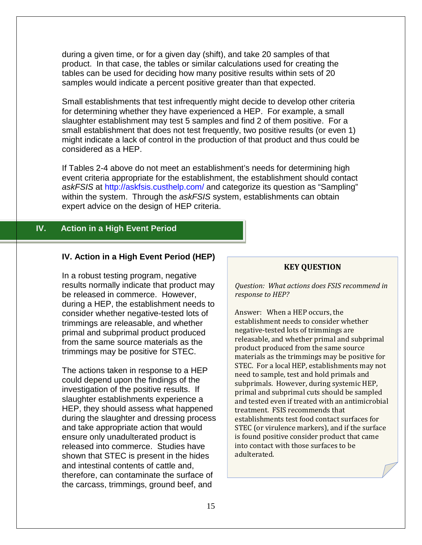during a given time, or for a given day (shift), and take 20 samples of that product. In that case, the tables or similar calculations used for creating the tables can be used for deciding how many positive results within sets of 20 samples would indicate a percent positive greater than that expected.

Small establishments that test infrequently might decide to develop other criteria for determining whether they have experienced a HEP. For example, a small slaughter establishment may test 5 samples and find 2 of them positive. For a small establishment that does not test frequently, two positive results (or even 1) might indicate a lack of control in the production of that product and thus could be considered as a HEP.

If Tables 2-4 above do not meet an establishment's needs for determining high event criteria appropriate for the establishment, the establishment should contact *askFSIS* at<http://askfsis.custhelp.com/> and categorize its question as "Sampling" within the system. Through the *askFSIS* system, establishments can obtain expert advice on the design of HEP criteria.

# <span id="page-14-0"></span>**IV. Action in a High Event Period**

## **IV. Action in a High Event Period (HEP)**

In a robust testing program, negative results normally indicate that product may be released in commerce. However, during a HEP, the establishment needs to consider whether negative-tested lots of trimmings are releasable, and whether primal and subprimal product produced from the same source materials as the trimmings may be positive for STEC.

The actions taken in response to a HEP could depend upon the findings of the investigation of the positive results. If slaughter establishments experience a HEP, they should assess what happened during the slaughter and dressing process and take appropriate action that would ensure only unadulterated product is released into commerce. Studies have shown that STEC is present in the hides and intestinal contents of cattle and, therefore, can contaminate the surface of the carcass, trimmings, ground beef, and

### **KEY QUESTION**

*Question: What actions does FSIS recommend in response to HEP?*

Answer: When a HEP occurs, the establishment needs to consider whether negative-tested lots of trimmings are releasable, and whether primal and subprimal product produced from the same source materials as the trimmings may be positive for STEC. For a local HEP, establishments may not need to sample, test and hold primals and subprimals. However, during systemic HEP, primal and subprimal cuts should be sampled and tested even if treated with an antimicrobial treatment. FSIS recommends that establishments test food contact surfaces for STEC (or virulence markers), and if the surface is found positive consider product that came into contact with those surfaces to be adulterated.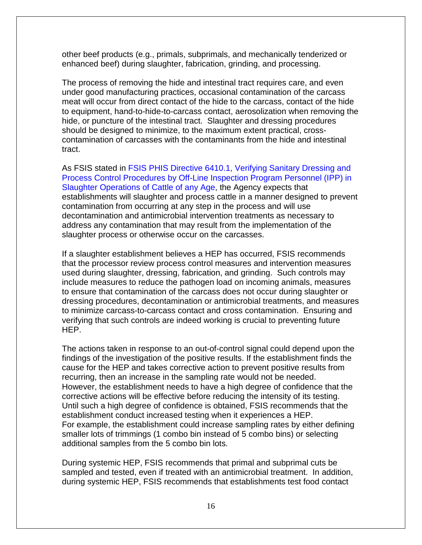other beef products (e.g., primals, subprimals, and mechanically tenderized or enhanced beef) during slaughter, fabrication, grinding, and processing.

The process of removing the hide and intestinal tract requires care, and even under good manufacturing practices, occasional contamination of the carcass meat will occur from direct contact of the hide to the carcass, contact of the hide to equipment, hand-to-hide-to-carcass contact, aerosolization when removing the hide, or puncture of the intestinal tract. Slaughter and dressing procedures should be designed to minimize, to the maximum extent practical, crosscontamination of carcasses with the contaminants from the hide and intestinal tract.

As FSIS stated in [FSIS PHIS Directive 6410.1, Verifying Sanitary Dressing and](http://www.fsis.usda.gov/wps/wcm/connect/5d100e39-8eab-4c88-85a3-bb60147d6e10/PHIS_6410.1.pdf?MOD=AJPERES)  [Process Control Procedures by Off-Line Inspection Program Personnel \(IPP\) in](http://www.fsis.usda.gov/wps/wcm/connect/5d100e39-8eab-4c88-85a3-bb60147d6e10/PHIS_6410.1.pdf?MOD=AJPERES)  [Slaughter Operations of Cattle of any Age,](http://www.fsis.usda.gov/wps/wcm/connect/5d100e39-8eab-4c88-85a3-bb60147d6e10/PHIS_6410.1.pdf?MOD=AJPERES) the Agency expects that establishments will slaughter and process cattle in a manner designed to prevent contamination from occurring at any step in the process and will use decontamination and antimicrobial intervention treatments as necessary to address any contamination that may result from the implementation of the slaughter process or otherwise occur on the carcasses.

If a slaughter establishment believes a HEP has occurred, FSIS recommends that the processor review process control measures and intervention measures used during slaughter, dressing, fabrication, and grinding. Such controls may include measures to reduce the pathogen load on incoming animals, measures to ensure that contamination of the carcass does not occur during slaughter or dressing procedures, decontamination or antimicrobial treatments, and measures to minimize carcass-to-carcass contact and cross contamination. Ensuring and verifying that such controls are indeed working is crucial to preventing future HEP.

The actions taken in response to an out-of-control signal could depend upon the findings of the investigation of the positive results. If the establishment finds the cause for the HEP and takes corrective action to prevent positive results from recurring, then an increase in the sampling rate would not be needed. However, the establishment needs to have a high degree of confidence that the corrective actions will be effective before reducing the intensity of its testing. Until such a high degree of confidence is obtained, FSIS recommends that the establishment conduct increased testing when it experiences a HEP. For example, the establishment could increase sampling rates by either defining smaller lots of trimmings (1 combo bin instead of 5 combo bins) or selecting additional samples from the 5 combo bin lots.

During systemic HEP, FSIS recommends that primal and subprimal cuts be sampled and tested, even if treated with an antimicrobial treatment. In addition, during systemic HEP, FSIS recommends that establishments test food contact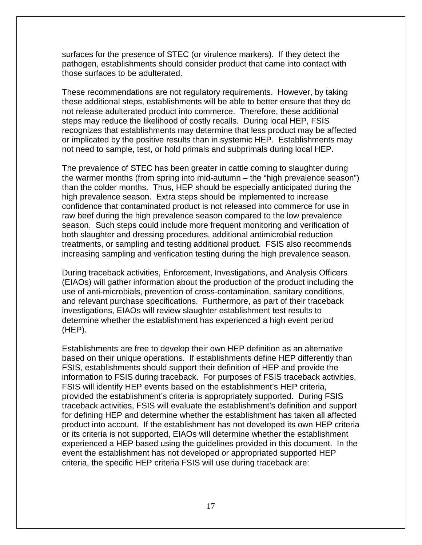surfaces for the presence of STEC (or virulence markers). If they detect the pathogen, establishments should consider product that came into contact with those surfaces to be adulterated.

These recommendations are not regulatory requirements. However, by taking these additional steps, establishments will be able to better ensure that they do not release adulterated product into commerce. Therefore, these additional steps may reduce the likelihood of costly recalls. During local HEP, FSIS recognizes that establishments may determine that less product may be affected or implicated by the positive results than in systemic HEP. Establishments may not need to sample, test, or hold primals and subprimals during local HEP.

The prevalence of STEC has been greater in cattle coming to slaughter during the warmer months (from spring into mid-autumn – the "high prevalence season") than the colder months. Thus, HEP should be especially anticipated during the high prevalence season. Extra steps should be implemented to increase confidence that contaminated product is not released into commerce for use in raw beef during the high prevalence season compared to the low prevalence season. Such steps could include more frequent monitoring and verification of both slaughter and dressing procedures, additional antimicrobial reduction treatments, or sampling and testing additional product. FSIS also recommends increasing sampling and verification testing during the high prevalence season.

During traceback activities, Enforcement, Investigations, and Analysis Officers (EIAOs) will gather information about the production of the product including the use of anti-microbials, prevention of cross-contamination, sanitary conditions, and relevant purchase specifications. Furthermore, as part of their traceback investigations, EIAOs will review slaughter establishment test results to determine whether the establishment has experienced a high event period (HEP).

Establishments are free to develop their own HEP definition as an alternative based on their unique operations. If establishments define HEP differently than FSIS, establishments should support their definition of HEP and provide the information to FSIS during traceback. For purposes of FSIS traceback activities, FSIS will identify HEP events based on the establishment's HEP criteria, provided the establishment's criteria is appropriately supported. During FSIS traceback activities, FSIS will evaluate the establishment's definition and support for defining HEP and determine whether the establishment has taken all affected product into account. If the establishment has not developed its own HEP criteria or its criteria is not supported, EIAOs will determine whether the establishment experienced a HEP based using the guidelines provided in this document. In the event the establishment has not developed or appropriated supported HEP criteria, the specific HEP criteria FSIS will use during traceback are: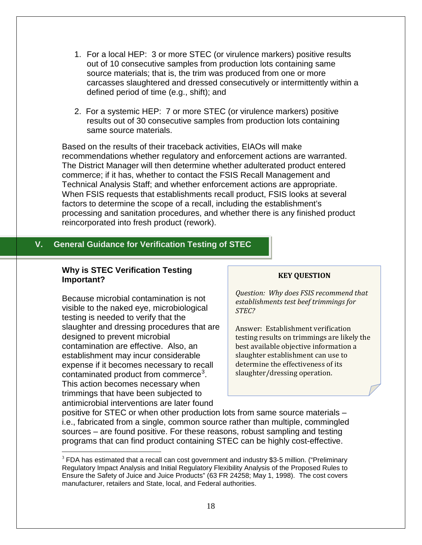- 1. For a local HEP: 3 or more STEC (or virulence markers) positive results out of 10 consecutive samples from production lots containing same source materials; that is, the trim was produced from one or more carcasses slaughtered and dressed consecutively or intermittently within a defined period of time (e.g., shift); and
- 2. For a systemic HEP: 7 or more STEC (or virulence markers) positive results out of 30 consecutive samples from production lots containing same source materials.

Based on the results of their traceback activities, EIAOs will make recommendations whether regulatory and enforcement actions are warranted. The District Manager will then determine whether adulterated product entered commerce; if it has, whether to contact the FSIS Recall Management and Technical Analysis Staff; and whether enforcement actions are appropriate. When FSIS requests that establishments recall product, FSIS looks at several factors to determine the scope of a recall, including the establishment's processing and sanitation procedures, and whether there is any finished product reincorporated into fresh product (rework).

# <span id="page-17-0"></span>**V. General Guidance for Verification Testing of STEC**

#### **Why is STEC Verification Testing Important?**

Because microbial contamination is not visible to the naked eye, microbiological testing is needed to verify that the slaughter and dressing procedures that are designed to prevent microbial contamination are effective. Also, an establishment may incur considerable expense if it becomes necessary to recall contaminated product from commerce<sup>[3](#page-17-1)</sup>. This action becomes necessary when trimmings that have been subjected to antimicrobial interventions are later found

#### **KEY QUESTION**

*Question: Why does FSIS recommend that establishments test beef trimmings for STEC?*

Answer: Establishment verification testing results on trimmings are likely the best available objective information a slaughter establishment can use to determine the effectiveness of its slaughter/dressing operation.

positive for STEC or when other production lots from same source materials – i.e., fabricated from a single, common source rather than multiple, commingled sources – are found positive. For these reasons, robust sampling and testing programs that can find product containing STEC can be highly cost-effective.

<span id="page-17-1"></span> $3$  FDA has estimated that a recall can cost government and industry \$3-5 million. ("Preliminary Regulatory Impact Analysis and Initial Regulatory Flexibility Analysis of the Proposed Rules to Ensure the Safety of Juice and Juice Products" (63 FR 24258; May 1, 1998). The cost covers manufacturer, retailers and State, local, and Federal authorities.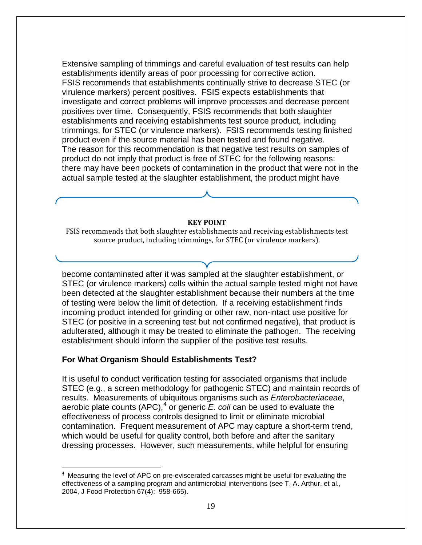Extensive sampling of trimmings and careful evaluation of test results can help establishments identify areas of poor processing for corrective action. FSIS recommends that establishments continually strive to decrease STEC (or virulence markers) percent positives. FSIS expects establishments that investigate and correct problems will improve processes and decrease percent positives over time. Consequently, FSIS recommends that both slaughter establishments and receiving establishments test source product, including trimmings, for STEC (or virulence markers). FSIS recommends testing finished product even if the source material has been tested and found negative. The reason for this recommendation is that negative test results on samples of product do not imply that product is free of STEC for the following reasons: there may have been pockets of contamination in the product that were not in the actual sample tested at the slaughter establishment, the product might have

#### **KEY POINT**

FSIS recommends that both slaughter establishments and receiving establishments test source product, including trimmings, for STEC (or virulence markers).

become contaminated after it was sampled at the slaughter establishment, or STEC (or virulence markers) cells within the actual sample tested might not have been detected at the slaughter establishment because their numbers at the time of testing were below the limit of detection. If a receiving establishment finds incoming product intended for grinding or other raw, non-intact use positive for STEC (or positive in a screening test but not confirmed negative), that product is adulterated, although it may be treated to eliminate the pathogen. The receiving establishment should inform the supplier of the positive test results.

#### **For What Organism Should Establishments Test?**

It is useful to conduct verification testing for associated organisms that include STEC (e.g., a screen methodology for pathogenic STEC) and maintain records of results. Measurements of ubiquitous organisms such as *Enterobacteriaceae*, aerobic plate counts (APC), [4](#page-18-0) or generic *E. coli* can be used to evaluate the effectiveness of process controls designed to limit or eliminate microbial contamination. Frequent measurement of APC may capture a short-term trend, which would be useful for quality control, both before and after the sanitary dressing processes. However, such measurements, while helpful for ensuring

<span id="page-18-0"></span> $\frac{1}{4}$  $4$  Measuring the level of APC on pre-eviscerated carcasses might be useful for evaluating the effectiveness of a sampling program and antimicrobial interventions (see T. A. Arthur, et al., 2004, J Food Protection 67(4): 958-665).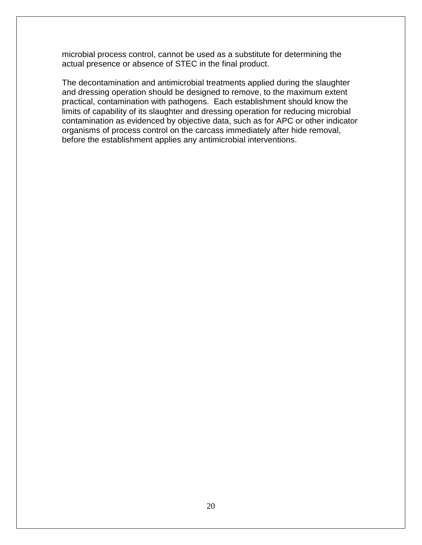microbial process control, cannot be used as a substitute for determining the actual presence or absence of STEC in the final product.

The decontamination and antimicrobial treatments applied during the slaughter and dressing operation should be designed to remove, to the maximum extent practical, contamination with pathogens. Each establishment should know the limits of capability of its slaughter and dressing operation for reducing microbial contamination as evidenced by objective data, such as for APC or other indicator organisms of process control on the carcass immediately after hide removal, before the establishment applies any antimicrobial interventions.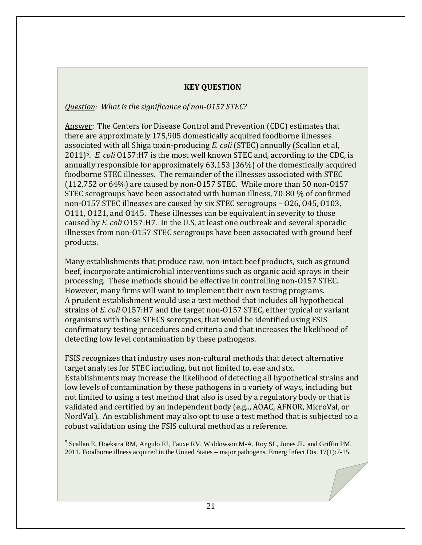# **KEY QUESTION**

# *Question: What is the significance of non-O157 STEC?*

Answer: The Centers for Disease Control and Prevention (CDC) estimates that there are approximately 175,905 domestically acquired foodborne illnesses associated with all Shiga toxin-producing *E. coli* (STEC) annually (Scallan et al, 2011)5. *E. coli* O157:H7 is the most well known STEC and, according to the CDC, is annually responsible for approximately 63,153 (36%) of the domestically acquired foodborne STEC illnesses. The remainder of the illnesses associated with STEC (112,752 or 64%) are caused by non-O157 STEC. While more than 50 non-O157 STEC serogroups have been associated with human illness, 70-80 % of confirmed non-O157 STEC illnesses are caused by six STEC serogroups – O26, O45, O103, O111, O121, and O145. These illnesses can be equivalent in severity to those caused by *E. coli* O157:H7. In the U.S, at least one outbreak and several sporadic illnesses from non-O157 STEC serogroups have been associated with ground beef products.

Many establishments that produce raw, non-intact beef products, such as ground beef, incorporate antimicrobial interventions such as organic acid sprays in their processing. These methods should be effective in controlling non-O157 STEC. However, many firms will want to implement their own testing programs. A prudent establishment would use a test method that includes all hypothetical strains of *E. coli* O157:H7 and the target non-O157 STEC, either typical or variant organisms with these STECS serotypes, that would be identified using FSIS confirmatory testing procedures and criteria and that increases the likelihood of detecting low level contamination by these pathogens.

FSIS recognizes that industry uses non-cultural methods that detect alternative target analytes for STEC including, but not limited to, eae and stx. Establishments may increase the likelihood of detecting all hypothetical strains and low levels of contamination by these pathogens in a variety of ways, including but not limited to using a test method that also is used by a regulatory body or that is validated and certified by an independent body (e.g.., AOAC, AFNOR, MicroVal, or NordVal). An establishment may also opt to use a test method that is subjected to a robust validation using the FSIS cultural method as a reference.

<sup>5</sup> Scallan E, Hoekstra RM, Angulo FJ, Tauxe RV, Widdowson M-A, Roy SL, Jones JL, and Griffin PM. 2011. Foodborne illness acquired in the United States – major pathogens. Emerg Infect Dis. 17(1):7-15.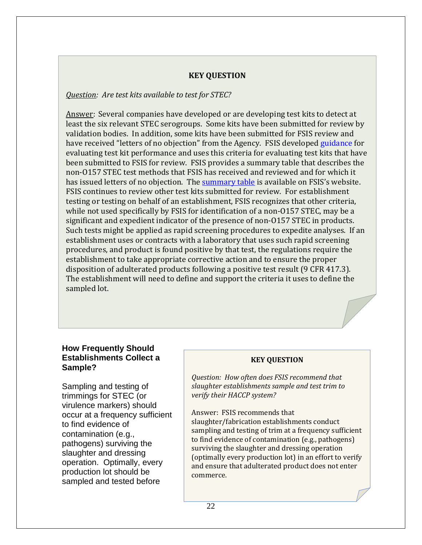### **KEY QUESTION**

#### *Question: Are test kits available to test for STEC?*

Answer: Several companies have developed or are developing test kits to detect at least the six relevant STEC serogroups. Some kits have been submitted for review by validation bodies. In addition, some kits have been submitted for FSIS review and have received "letters of no objection" from the Agency. FSIS developed [guidance](http://www.fsis.usda.gov/wps/wcm/connect/966638c7-1931-471f-a79e-4155ce461d65/Validation_Studies_Pathogen_Detection_Methods.pdf?MOD=AJPERES) for evaluating test kit performance and uses this criteria for evaluating test kits that have been submitted to FSIS for review. FSIS provides a summary table that describes the non-O157 STEC test methods that FSIS has received and reviewed and for which it has issued letters of no objection. The [summary table](http://www.fsis.usda.gov/wps/portal/fsis/topics/regulatory-compliance/New-Technologies/summary-table-of-nols-non-O157-stec-test-methods/NOL-non-O157-STEC-+test-methods) is available on FSIS's website. FSIS continues to review other test kits submitted for review. For establishment testing or testing on behalf of an establishment, FSIS recognizes that other criteria, while not used specifically by FSIS for identification of a non-O157 STEC, may be a significant and expedient indicator of the presence of non-O157 STEC in products. Such tests might be applied as rapid screening procedures to expedite analyses. If an establishment uses or contracts with a laboratory that uses such rapid screening procedures, and product is found positive by that test, the regulations require the establishment to take appropriate corrective action and to ensure the proper disposition of adulterated products following a positive test result (9 CFR 417.3). The establishment will need to define and support the criteria it uses to define the sampled lot.

### **How Frequently Should Establishments Collect a Sample?**

Sampling and testing of trimmings for STEC (or virulence markers) should occur at a frequency sufficient to find evidence of contamination (e.g., pathogens) surviving the slaughter and dressing operation. Optimally, every production lot should be sampled and tested before

#### **KEY QUESTION**

*Question: How often does FSIS recommend that slaughter establishments sample and test trim to verify their HACCP system?*

Answer: FSIS recommends that slaughter/fabrication establishments conduct sampling and testing of trim at a frequency sufficient to find evidence of contamination (e.g., pathogens) surviving the slaughter and dressing operation (optimally every production lot) in an effort to verify and ensure that adulterated product does not enter commerce.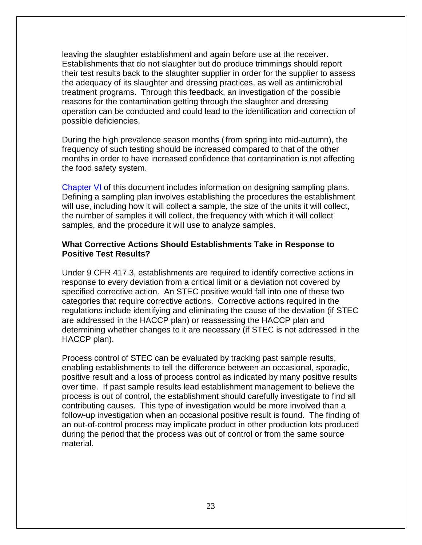leaving the slaughter establishment and again before use at the receiver. Establishments that do not slaughter but do produce trimmings should report their test results back to the slaughter supplier in order for the supplier to assess the adequacy of its slaughter and dressing practices, as well as antimicrobial treatment programs. Through this feedback, an investigation of the possible reasons for the contamination getting through the slaughter and dressing operation can be conducted and could lead to the identification and correction of possible deficiencies.

During the high prevalence season months (from spring into mid-autumn), the frequency of such testing should be increased compared to that of the other months in order to have increased confidence that contamination is not affecting the food safety system.

[Chapter VI](#page-24-1) of this document includes information on designing sampling plans. Defining a sampling plan involves establishing the procedures the establishment will use, including how it will collect a sample, the size of the units it will collect, the number of samples it will collect, the frequency with which it will collect samples, and the procedure it will use to analyze samples.

### **What Corrective Actions Should Establishments Take in Response to Positive Test Results?**

Under 9 CFR 417.3, establishments are required to identify corrective actions in response to every deviation from a critical limit or a deviation not covered by specified corrective action. An STEC positive would fall into one of these two categories that require corrective actions. Corrective actions required in the regulations include identifying and eliminating the cause of the deviation (if STEC are addressed in the HACCP plan) or reassessing the HACCP plan and determining whether changes to it are necessary (if STEC is not addressed in the HACCP plan).

Process control of STEC can be evaluated by tracking past sample results, enabling establishments to tell the difference between an occasional, sporadic, positive result and a loss of process control as indicated by many positive results over time. If past sample results lead establishment management to believe the process is out of control, the establishment should carefully investigate to find all contributing causes. This type of investigation would be more involved than a follow-up investigation when an occasional positive result is found. The finding of an out-of-control process may implicate product in other production lots produced during the period that the process was out of control or from the same source material.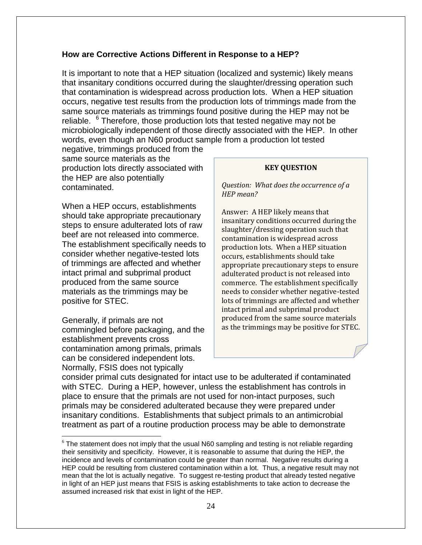### **How are Corrective Actions Different in Response to a HEP?**

It is important to note that a HEP situation (localized and systemic) likely means that insanitary conditions occurred during the slaughter/dressing operation such that contamination is widespread across production lots. When a HEP situation occurs, negative test results from the production lots of trimmings made from the same source materials as trimmings found positive during the HEP may not be reliable. <sup>[6](#page-23-0)</sup> Therefore, those production lots that tested negative may not be microbiologically independent of those directly associated with the HEP. In other words, even though an N60 product sample from a production lot tested

negative, trimmings produced from the same source materials as the production lots directly associated with the HEP are also potentially contaminated.

When a HEP occurs, establishments should take appropriate precautionary steps to ensure adulterated lots of raw beef are not released into commerce. The establishment specifically needs to consider whether negative-tested lots of trimmings are affected and whether intact primal and subprimal product produced from the same source materials as the trimmings may be positive for STEC.

Generally, if primals are not commingled before packaging, and the establishment prevents cross contamination among primals, primals can be considered independent lots. Normally, FSIS does not typically

#### **KEY QUESTION**

*Question: What does the occurrence of a HEP mean?*

Answer: A HEP likely means that insanitary conditions occurred during the slaughter/dressing operation such that contamination is widespread across production lots. When a HEP situation occurs, establishments should take appropriate precautionary steps to ensure adulterated product is not released into commerce. The establishment specifically needs to consider whether negative-tested lots of trimmings are affected and whether intact primal and subprimal product produced from the same source materials as the trimmings may be positive for STEC.

consider primal cuts designated for intact use to be adulterated if contaminated with STEC. During a HEP, however, unless the establishment has controls in place to ensure that the primals are not used for non-intact purposes, such primals may be considered adulterated because they were prepared under insanitary conditions. Establishments that subject primals to an antimicrobial treatment as part of a routine production process may be able to demonstrate

<span id="page-23-0"></span> $6$  The statement does not imply that the usual N60 sampling and testing is not reliable regarding their sensitivity and specificity. However, it is reasonable to assume that during the HEP, the incidence and levels of contamination could be greater than normal. Negative results during a HEP could be resulting from clustered contamination within a lot. Thus, a negative result may not mean that the lot is actually negative. To suggest re-testing product that already tested negative in light of an HEP just means that FSIS is asking establishments to take action to decrease the assumed increased risk that exist in light of the HEP.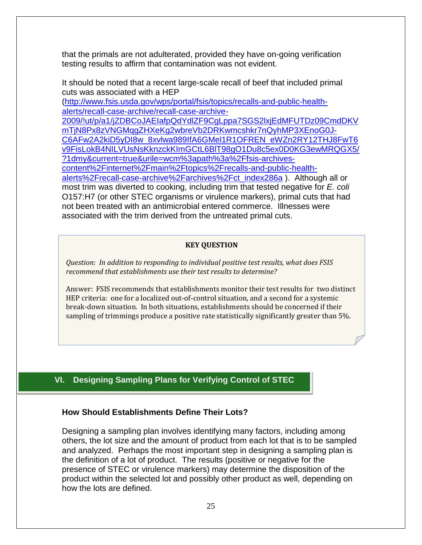that the primals are not adulterated, provided they have on-going verification testing results to affirm that contamination was not evident.

It should be noted that a recent large-scale recall of beef that included primal cuts was associated with a HEP

[\(http://www.fsis.usda.gov/wps/portal/fsis/topics/recalls-and-public-health](http://www.fsis.usda.gov/wps/portal/fsis/topics/recalls-and-public-health-alerts/recall-case-archive/recall-case-archive-2009/!ut/p/a1/jZDBCoJAEIafpQdYdlZF9CgLppa7SGS2lxjEdMFUTDz09CmdDKVmTjN8Px8zVNGMqgZHXeKg2wbreVb2DRKwmcshkr7nQyhMP3XEnoG0J-C6AFw2A2kiD5yDI8w_8xvlwa989IfA6GMel1R1OFREN_eWZn2RY12THJ8FwT6v9FisLokB4NILVUsNsKknzckKImGCtL6BlT98gO1Du8c5ex0D0KG3ewMRQGX5/?1dmy¤t=true&urile=wcm%3apath%3a%2Ffsis-archives-content%2Finternet%2Fmain%2Ftopics%2Frecalls-and-public-health-alerts%2Frecall-case-archive%2Farchives%2Fct_index286a)[alerts/recall-case-archive/recall-case-archive-](http://www.fsis.usda.gov/wps/portal/fsis/topics/recalls-and-public-health-alerts/recall-case-archive/recall-case-archive-2009/!ut/p/a1/jZDBCoJAEIafpQdYdlZF9CgLppa7SGS2lxjEdMFUTDz09CmdDKVmTjN8Px8zVNGMqgZHXeKg2wbreVb2DRKwmcshkr7nQyhMP3XEnoG0J-C6AFw2A2kiD5yDI8w_8xvlwa989IfA6GMel1R1OFREN_eWZn2RY12THJ8FwT6v9FisLokB4NILVUsNsKknzckKImGCtL6BlT98gO1Du8c5ex0D0KG3ewMRQGX5/?1dmy¤t=true&urile=wcm%3apath%3a%2Ffsis-archives-content%2Finternet%2Fmain%2Ftopics%2Frecalls-and-public-health-alerts%2Frecall-case-archive%2Farchives%2Fct_index286a)

[2009/!ut/p/a1/jZDBCoJAEIafpQdYdlZF9CgLppa7SGS2lxjEdMFUTDz09CmdDKV](http://www.fsis.usda.gov/wps/portal/fsis/topics/recalls-and-public-health-alerts/recall-case-archive/recall-case-archive-2009/!ut/p/a1/jZDBCoJAEIafpQdYdlZF9CgLppa7SGS2lxjEdMFUTDz09CmdDKVmTjN8Px8zVNGMqgZHXeKg2wbreVb2DRKwmcshkr7nQyhMP3XEnoG0J-C6AFw2A2kiD5yDI8w_8xvlwa989IfA6GMel1R1OFREN_eWZn2RY12THJ8FwT6v9FisLokB4NILVUsNsKknzckKImGCtL6BlT98gO1Du8c5ex0D0KG3ewMRQGX5/?1dmy¤t=true&urile=wcm%3apath%3a%2Ffsis-archives-content%2Finternet%2Fmain%2Ftopics%2Frecalls-and-public-health-alerts%2Frecall-case-archive%2Farchives%2Fct_index286a) [mTjN8Px8zVNGMqgZHXeKg2wbreVb2DRKwmcshkr7nQyhMP3XEnoG0J-](http://www.fsis.usda.gov/wps/portal/fsis/topics/recalls-and-public-health-alerts/recall-case-archive/recall-case-archive-2009/!ut/p/a1/jZDBCoJAEIafpQdYdlZF9CgLppa7SGS2lxjEdMFUTDz09CmdDKVmTjN8Px8zVNGMqgZHXeKg2wbreVb2DRKwmcshkr7nQyhMP3XEnoG0J-C6AFw2A2kiD5yDI8w_8xvlwa989IfA6GMel1R1OFREN_eWZn2RY12THJ8FwT6v9FisLokB4NILVUsNsKknzckKImGCtL6BlT98gO1Du8c5ex0D0KG3ewMRQGX5/?1dmy¤t=true&urile=wcm%3apath%3a%2Ffsis-archives-content%2Finternet%2Fmain%2Ftopics%2Frecalls-and-public-health-alerts%2Frecall-case-archive%2Farchives%2Fct_index286a)[C6AFw2A2kiD5yDI8w\\_8xvlwa989IfA6GMel1R1OFREN\\_eWZn2RY12THJ8FwT6](http://www.fsis.usda.gov/wps/portal/fsis/topics/recalls-and-public-health-alerts/recall-case-archive/recall-case-archive-2009/!ut/p/a1/jZDBCoJAEIafpQdYdlZF9CgLppa7SGS2lxjEdMFUTDz09CmdDKVmTjN8Px8zVNGMqgZHXeKg2wbreVb2DRKwmcshkr7nQyhMP3XEnoG0J-C6AFw2A2kiD5yDI8w_8xvlwa989IfA6GMel1R1OFREN_eWZn2RY12THJ8FwT6v9FisLokB4NILVUsNsKknzckKImGCtL6BlT98gO1Du8c5ex0D0KG3ewMRQGX5/?1dmy¤t=true&urile=wcm%3apath%3a%2Ffsis-archives-content%2Finternet%2Fmain%2Ftopics%2Frecalls-and-public-health-alerts%2Frecall-case-archive%2Farchives%2Fct_index286a) [v9FisLokB4NILVUsNsKknzckKImGCtL6BlT98gO1Du8c5ex0D0KG3ewMRQGX5/](http://www.fsis.usda.gov/wps/portal/fsis/topics/recalls-and-public-health-alerts/recall-case-archive/recall-case-archive-2009/!ut/p/a1/jZDBCoJAEIafpQdYdlZF9CgLppa7SGS2lxjEdMFUTDz09CmdDKVmTjN8Px8zVNGMqgZHXeKg2wbreVb2DRKwmcshkr7nQyhMP3XEnoG0J-C6AFw2A2kiD5yDI8w_8xvlwa989IfA6GMel1R1OFREN_eWZn2RY12THJ8FwT6v9FisLokB4NILVUsNsKknzckKImGCtL6BlT98gO1Du8c5ex0D0KG3ewMRQGX5/?1dmy¤t=true&urile=wcm%3apath%3a%2Ffsis-archives-content%2Finternet%2Fmain%2Ftopics%2Frecalls-and-public-health-alerts%2Frecall-case-archive%2Farchives%2Fct_index286a) [?1dmy&current=true&urile=wcm%3apath%3a%2Ffsis-archives](http://www.fsis.usda.gov/wps/portal/fsis/topics/recalls-and-public-health-alerts/recall-case-archive/recall-case-archive-2009/!ut/p/a1/jZDBCoJAEIafpQdYdlZF9CgLppa7SGS2lxjEdMFUTDz09CmdDKVmTjN8Px8zVNGMqgZHXeKg2wbreVb2DRKwmcshkr7nQyhMP3XEnoG0J-C6AFw2A2kiD5yDI8w_8xvlwa989IfA6GMel1R1OFREN_eWZn2RY12THJ8FwT6v9FisLokB4NILVUsNsKknzckKImGCtL6BlT98gO1Du8c5ex0D0KG3ewMRQGX5/?1dmy¤t=true&urile=wcm%3apath%3a%2Ffsis-archives-content%2Finternet%2Fmain%2Ftopics%2Frecalls-and-public-health-alerts%2Frecall-case-archive%2Farchives%2Fct_index286a)[content%2Finternet%2Fmain%2Ftopics%2Frecalls-and-public-health](http://www.fsis.usda.gov/wps/portal/fsis/topics/recalls-and-public-health-alerts/recall-case-archive/recall-case-archive-2009/!ut/p/a1/jZDBCoJAEIafpQdYdlZF9CgLppa7SGS2lxjEdMFUTDz09CmdDKVmTjN8Px8zVNGMqgZHXeKg2wbreVb2DRKwmcshkr7nQyhMP3XEnoG0J-C6AFw2A2kiD5yDI8w_8xvlwa989IfA6GMel1R1OFREN_eWZn2RY12THJ8FwT6v9FisLokB4NILVUsNsKknzckKImGCtL6BlT98gO1Du8c5ex0D0KG3ewMRQGX5/?1dmy¤t=true&urile=wcm%3apath%3a%2Ffsis-archives-content%2Finternet%2Fmain%2Ftopics%2Frecalls-and-public-health-alerts%2Frecall-case-archive%2Farchives%2Fct_index286a)[alerts%2Frecall-case-archive%2Farchives%2Fct\\_index286a](http://www.fsis.usda.gov/wps/portal/fsis/topics/recalls-and-public-health-alerts/recall-case-archive/recall-case-archive-2009/!ut/p/a1/jZDBCoJAEIafpQdYdlZF9CgLppa7SGS2lxjEdMFUTDz09CmdDKVmTjN8Px8zVNGMqgZHXeKg2wbreVb2DRKwmcshkr7nQyhMP3XEnoG0J-C6AFw2A2kiD5yDI8w_8xvlwa989IfA6GMel1R1OFREN_eWZn2RY12THJ8FwT6v9FisLokB4NILVUsNsKknzckKImGCtL6BlT98gO1Du8c5ex0D0KG3ewMRQGX5/?1dmy¤t=true&urile=wcm%3apath%3a%2Ffsis-archives-content%2Finternet%2Fmain%2Ftopics%2Frecalls-and-public-health-alerts%2Frecall-case-archive%2Farchives%2Fct_index286a) ). Although all or most trim was diverted to cooking, including trim that tested negative for *E. coli* O157:H7 (or other STEC organisms or virulence markers), primal cuts that had not been treated with an antimicrobial entered commerce. Illnesses were associated with the trim derived from the untreated primal cuts.

#### **KEY QUESTION**

*Question: In addition to responding to individual positive test results, what does FSIS recommend that establishments use their test results to determine?* 

Answer: FSIS recommends that establishments monitor their test results for two distinct HEP criteria: one for a localized out-of-control situation, and a second for a systemic break-down situation. In both situations, establishments should be concerned if their sampling of trimmings produce a positive rate statistically significantly greater than 5%.

#### <span id="page-24-1"></span>i **VI. Designing Sampling Plans for Verifying Control of STEC**

#### <span id="page-24-0"></span>**How Should Establishments Define Their Lots?**

Designing a sampling plan involves identifying many factors, including among others, the lot size and the amount of product from each lot that is to be sampled and analyzed. Perhaps the most important step in designing a sampling plan is the definition of a lot of product. The results (positive or negative for the presence of STEC or virulence markers) may determine the disposition of the product within the selected lot and possibly other product as well, depending on how the lots are defined.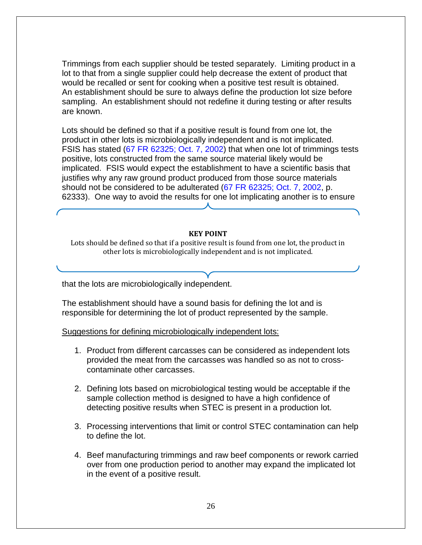Trimmings from each supplier should be tested separately. Limiting product in a lot to that from a single supplier could help decrease the extent of product that would be recalled or sent for cooking when a positive test result is obtained. An establishment should be sure to always define the production lot size before sampling. An establishment should not redefine it during testing or after results are known.

Lots should be defined so that if a positive result is found from one lot, the product in other lots is microbiologically independent and is not implicated. FSIS has stated [\(67 FR 62325; Oct. 7, 2002\)](http://www.fsis.usda.gov/wps/wcm/connect/ad259bcd-5b85-4696-9888-89872bee39ee/00-022N_37.pdf?MOD=AJPERES) that when one lot of trimmings tests positive, lots constructed from the same source material likely would be implicated. FSIS would expect the establishment to have a scientific basis that justifies why any raw ground product produced from those source materials should not be considered to be adulterated [\(67 FR 62325; Oct. 7, 2002,](http://www.fsis.usda.gov/wps/wcm/connect/ad259bcd-5b85-4696-9888-89872bee39ee/00-022N_37.pdf?MOD=AJPERES) p. 62333). One way to avoid the results for one lot implicating another is to ensure

#### **KEY POINT**

Lots should be defined so that if a positive result is found from one lot, the product in other lots is microbiologically independent and is not implicated.

that the lots are microbiologically independent.

The establishment should have a sound basis for defining the lot and is responsible for determining the lot of product represented by the sample.

Suggestions for defining microbiologically independent lots:

- 1. Product from different carcasses can be considered as independent lots provided the meat from the carcasses was handled so as not to crosscontaminate other carcasses.
- 2. Defining lots based on microbiological testing would be acceptable if the sample collection method is designed to have a high confidence of detecting positive results when STEC is present in a production lot.
- 3. Processing interventions that limit or control STEC contamination can help to define the lot.
- 4. Beef manufacturing trimmings and raw beef components or rework carried over from one production period to another may expand the implicated lot in the event of a positive result.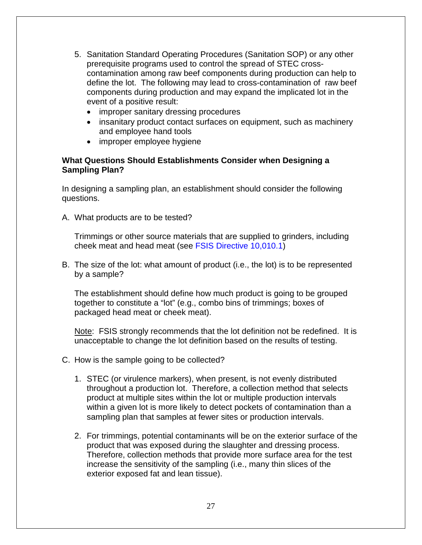- 5. Sanitation Standard Operating Procedures (Sanitation SOP) or any other prerequisite programs used to control the spread of STEC crosscontamination among raw beef components during production can help to define the lot. The following may lead to cross-contamination of raw beef components during production and may expand the implicated lot in the event of a positive result:
	- improper sanitary dressing procedures
	- insanitary product contact surfaces on equipment, such as machinery and employee hand tools
	- improper employee hygiene

# **What Questions Should Establishments Consider when Designing a Sampling Plan?**

In designing a sampling plan, an establishment should consider the following questions.

A. What products are to be tested?

Trimmings or other source materials that are supplied to grinders, including cheek meat and head meat (see [FSIS Directive 10,010.1\)](http://www.fsis.usda.gov/wps/wcm/connect/c100dd64-e2e7-408a-8b27-ebb378959071/10010.1Rev3.pdf?MOD=AJPERES)

B. The size of the lot: what amount of product (i.e., the lot) is to be represented by a sample?

The establishment should define how much product is going to be grouped together to constitute a "lot" (e.g., combo bins of trimmings; boxes of packaged head meat or cheek meat).

Note: FSIS strongly recommends that the lot definition not be redefined. It is unacceptable to change the lot definition based on the results of testing.

- C. How is the sample going to be collected?
	- 1. STEC (or virulence markers), when present, is not evenly distributed throughout a production lot. Therefore, a collection method that selects product at multiple sites within the lot or multiple production intervals within a given lot is more likely to detect pockets of contamination than a sampling plan that samples at fewer sites or production intervals.
	- 2. For trimmings, potential contaminants will be on the exterior surface of the product that was exposed during the slaughter and dressing process. Therefore, collection methods that provide more surface area for the test increase the sensitivity of the sampling (i.e., many thin slices of the exterior exposed fat and lean tissue).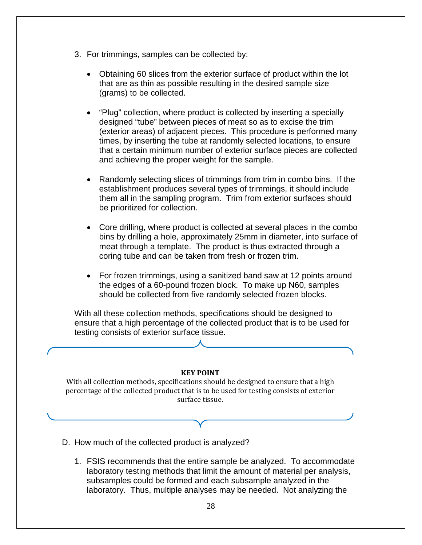- 3. For trimmings, samples can be collected by:
	- Obtaining 60 slices from the exterior surface of product within the lot that are as thin as possible resulting in the desired sample size (grams) to be collected.
	- "Plug" collection, where product is collected by inserting a specially designed "tube" between pieces of meat so as to excise the trim (exterior areas) of adjacent pieces. This procedure is performed many times, by inserting the tube at randomly selected locations, to ensure that a certain minimum number of exterior surface pieces are collected and achieving the proper weight for the sample.
	- Randomly selecting slices of trimmings from trim in combo bins. If the establishment produces several types of trimmings, it should include them all in the sampling program. Trim from exterior surfaces should be prioritized for collection.
	- Core drilling, where product is collected at several places in the combo bins by drilling a hole, approximately 25mm in diameter, into surface of meat through a template. The product is thus extracted through a coring tube and can be taken from fresh or frozen trim.
	- For frozen trimmings, using a sanitized band saw at 12 points around the edges of a 60-pound frozen block. To make up N60, samples should be collected from five randomly selected frozen blocks.

With all these collection methods, specifications should be designed to ensure that a high percentage of the collected product that is to be used for testing consists of exterior surface tissue.

#### **KEY POINT**

With all collection methods, specifications should be designed to ensure that a high percentage of the collected product that is to be used for testing consists of exterior surface tissue.

- D. How much of the collected product is analyzed?
	- 1. FSIS recommends that the entire sample be analyzed. To accommodate laboratory testing methods that limit the amount of material per analysis, subsamples could be formed and each subsample analyzed in the laboratory. Thus, multiple analyses may be needed. Not analyzing the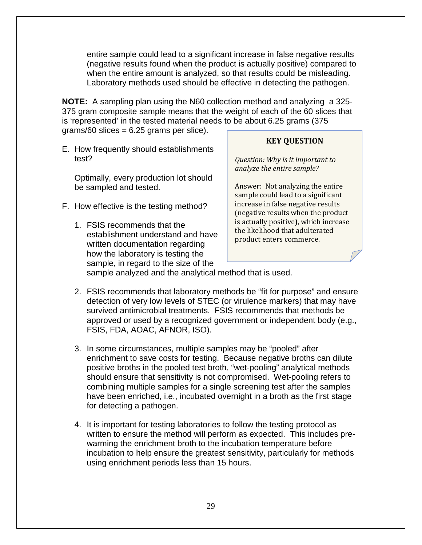entire sample could lead to a significant increase in false negative results (negative results found when the product is actually positive) compared to when the entire amount is analyzed, so that results could be misleading. Laboratory methods used should be effective in detecting the pathogen.

**NOTE:** A sampling plan using the N60 collection method and analyzing a 325- 375 gram composite sample means that the weight of each of the 60 slices that is 'represented' in the tested material needs to be about 6.25 grams (375  $grams/60$  slices = 6.25 grams per slice).

E. How frequently should establishments test?

Optimally, every production lot should be sampled and tested.

- F. How effective is the testing method?
	- 1. FSIS recommends that the establishment understand and have written documentation regarding how the laboratory is testing the sample, in regard to the size of the

# **KEY QUESTION**

*Question: Why is it important to analyze the entire sample?*

Answer: Not analyzing the entire sample could lead to a significant increase in false negative results (negative results when the product is actually positive), which increase the likelihood that adulterated product enters commerce.

sample analyzed and the analytical method that is used.

- 2. FSIS recommends that laboratory methods be "fit for purpose" and ensure detection of very low levels of STEC (or virulence markers) that may have survived antimicrobial treatments. FSIS recommends that methods be approved or used by a recognized government or independent body (e.g., FSIS, FDA, AOAC, AFNOR, ISO).
- 3. In some circumstances, multiple samples may be "pooled" after enrichment to save costs for testing. Because negative broths can dilute positive broths in the pooled test broth, "wet-pooling" analytical methods should ensure that sensitivity is not compromised. Wet-pooling refers to combining multiple samples for a single screening test after the samples have been enriched, i.e., incubated overnight in a broth as the first stage for detecting a pathogen.
- 4. It is important for testing laboratories to follow the testing protocol as written to ensure the method will perform as expected. This includes prewarming the enrichment broth to the incubation temperature before incubation to help ensure the greatest sensitivity, particularly for methods using enrichment periods less than 15 hours.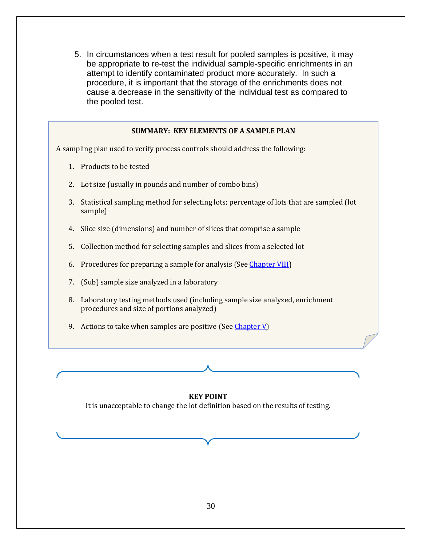5. In circumstances when a test result for pooled samples is positive, it may be appropriate to re-test the individual sample-specific enrichments in an attempt to identify contaminated product more accurately. In such a procedure, it is important that the storage of the enrichments does not cause a decrease in the sensitivity of the individual test as compared to the pooled test.

#### **SUMMARY: KEY ELEMENTS OF A SAMPLE PLAN**

A sampling plan used to verify process controls should address the following:

- 1. Products to be tested
- 2. Lot size (usually in pounds and number of combo bins)
- 3. Statistical sampling method for selecting lots; percentage of lots that are sampled (lot sample)
- 4. Slice size (dimensions) and number of slices that comprise a sample
- 5. Collection method for selecting samples and slices from a selected lot
- 6. Procedures for preparing a sample for analysis (See [Chapter VIII\)](#page-1-1)
- 7. (Sub) sample size analyzed in a laboratory
- 8. Laboratory testing methods used (including sample size analyzed, enrichment procedures and size of portions analyzed)
- 9. Actions to take when samples are positive (Se[e Chapter V\)](#page-17-0)

#### **KEY POINT**

<span id="page-29-0"></span>It is unacceptable to change the lot definition based on the results of testing.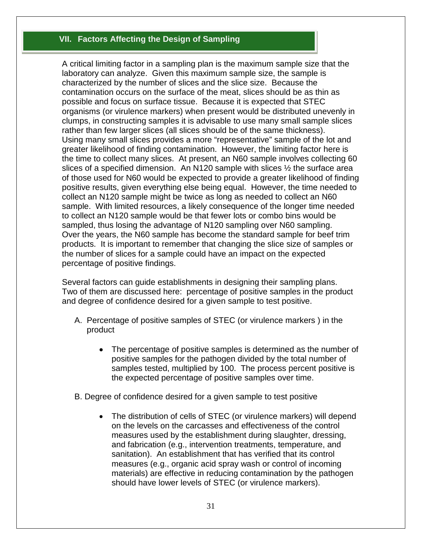# **VII. Factors Affecting the Design of Sampling**

A critical limiting factor in a sampling plan is the maximum sample size that the laboratory can analyze. Given this maximum sample size, the sample is characterized by the number of slices and the slice size. Because the contamination occurs on the surface of the meat, slices should be as thin as possible and focus on surface tissue. Because it is expected that STEC organisms (or virulence markers) when present would be distributed unevenly in clumps, in constructing samples it is advisable to use many small sample slices rather than few larger slices (all slices should be of the same thickness). Using many small slices provides a more "representative" sample of the lot and greater likelihood of finding contamination. However, the limiting factor here is the time to collect many slices. At present, an N60 sample involves collecting 60 slices of a specified dimension. An N120 sample with slices ½ the surface area of those used for N60 would be expected to provide a greater likelihood of finding positive results, given everything else being equal. However, the time needed to collect an N120 sample might be twice as long as needed to collect an N60 sample. With limited resources, a likely consequence of the longer time needed to collect an N120 sample would be that fewer lots or combo bins would be sampled, thus losing the advantage of N120 sampling over N60 sampling. Over the years, the N60 sample has become the standard sample for beef trim products. It is important to remember that changing the slice size of samples or the number of slices for a sample could have an impact on the expected percentage of positive findings.

Several factors can guide establishments in designing their sampling plans. Two of them are discussed here: percentage of positive samples in the product and degree of confidence desired for a given sample to test positive.

- A. Percentage of positive samples of STEC (or virulence markers ) in the product
	- The percentage of positive samples is determined as the number of positive samples for the pathogen divided by the total number of samples tested, multiplied by 100. The process percent positive is the expected percentage of positive samples over time.
- B. Degree of confidence desired for a given sample to test positive
	- The distribution of cells of STEC (or virulence markers) will depend on the levels on the carcasses and effectiveness of the control measures used by the establishment during slaughter, dressing, and fabrication (e.g., intervention treatments, temperature, and sanitation). An establishment that has verified that its control measures (e.g., organic acid spray wash or control of incoming materials) are effective in reducing contamination by the pathogen should have lower levels of STEC (or virulence markers).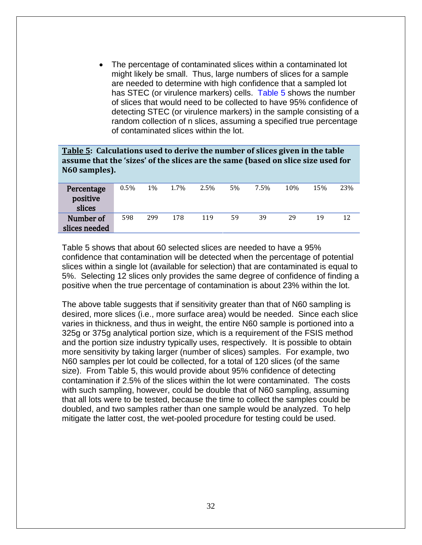The percentage of contaminated slices within a contaminated lot might likely be small. Thus, large numbers of slices for a sample are needed to determine with high confidence that a sampled lot has STEC (or virulence markers) cells. [Table 5](#page-31-0) shows the number of slices that would need to be collected to have 95% confidence of detecting STEC (or virulence markers) in the sample consisting of a random collection of n slices, assuming a specified true percentage of contaminated slices within the lot.

<span id="page-31-0"></span>

| <b>Table 5:</b> Calculations used to derive the number of slices given in the table<br>assume that the 'sizes' of the slices are the same (based on slice size used for<br>N60 samples). |         |       |      |         |    |         |     |     |     |
|------------------------------------------------------------------------------------------------------------------------------------------------------------------------------------------|---------|-------|------|---------|----|---------|-----|-----|-----|
| Percentage<br>positive<br>slices                                                                                                                                                         | $0.5\%$ | $1\%$ | 1.7% | $2.5\%$ | 5% | $7.5\%$ | 10% | 15% | 23% |
| Number of<br>slices needed                                                                                                                                                               | 598     | 299   | 178  | 119     | 59 | 39      | 29  | 19  | 12  |

Table 5 shows that about 60 selected slices are needed to have a 95% confidence that contamination will be detected when the percentage of potential slices within a single lot (available for selection) that are contaminated is equal to 5%. Selecting 12 slices only provides the same degree of confidence of finding a positive when the true percentage of contamination is about 23% within the lot.

The above table suggests that if sensitivity greater than that of N60 sampling is desired, more slices (i.e., more surface area) would be needed. Since each slice varies in thickness, and thus in weight, the entire N60 sample is portioned into a 325g or 375g analytical portion size, which is a requirement of the FSIS method and the portion size industry typically uses, respectively. It is possible to obtain more sensitivity by taking larger (number of slices) samples. For example, two N60 samples per lot could be collected, for a total of 120 slices (of the same size). From Table 5, this would provide about 95% confidence of detecting contamination if 2.5% of the slices within the lot were contaminated. The costs with such sampling, however, could be double that of N60 sampling, assuming that all lots were to be tested, because the time to collect the samples could be doubled, and two samples rather than one sample would be analyzed. To help mitigate the latter cost, the wet-pooled procedure for testing could be used.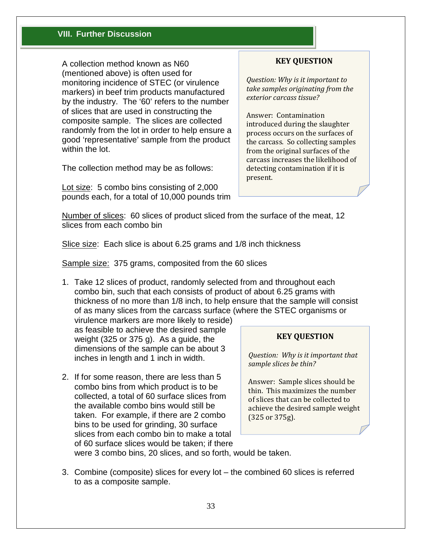### **VIII. Further Discussion**

A collection method known as N60 (mentioned above) is often used for monitoring incidence of STEC (or virulence markers) in beef trim products manufactured by the industry. The '60' refers to the number of slices that are used in constructing the composite sample. The slices are collected randomly from the lot in order to help ensure a good 'representative' sample from the product within the lot.

The collection method may be as follows:

Lot size: 5 combo bins consisting of 2,000 pounds each, for a total of 10,000 pounds trim

#### **KEY QUESTION**

*Question: Why is it important to take samples originating from the exterior carcass tissue?* 

Answer: Contamination introduced during the slaughter process occurs on the surfaces of the carcass. So collecting samples from the original surfaces of the carcass increases the likelihood of detecting contamination if it is present.

Number of slices: 60 slices of product sliced from the surface of the meat, 12 slices from each combo bin

Slice size: Each slice is about 6.25 grams and 1/8 inch thickness

Sample size: 375 grams, composited from the 60 slices

1. Take 12 slices of product, randomly selected from and throughout each combo bin, such that each consists of product of about 6.25 grams with thickness of no more than 1/8 inch, to help ensure that the sample will consist of as many slices from the carcass surface (where the STEC organisms or

virulence markers are more likely to reside) as feasible to achieve the desired sample weight (325 or 375 g). As a guide, the dimensions of the sample can be about 3 inches in length and 1 inch in width.

2. If for some reason, there are less than 5 combo bins from which product is to be collected, a total of 60 surface slices from the available combo bins would still be taken. For example, if there are 2 combo bins to be used for grinding, 30 surface slices from each combo bin to make a total of 60 surface slices would be taken; if there

#### **KEY QUESTION**

*Question: Why is it important that sample slices be thin?* 

Answer: Sample slices should be thin. This maximizes the number of slices that can be collected to achieve the desired sample weight (325 or 375g).

were 3 combo bins, 20 slices, and so forth, would be taken.

3. Combine (composite) slices for every lot – the combined 60 slices is referred to as a composite sample.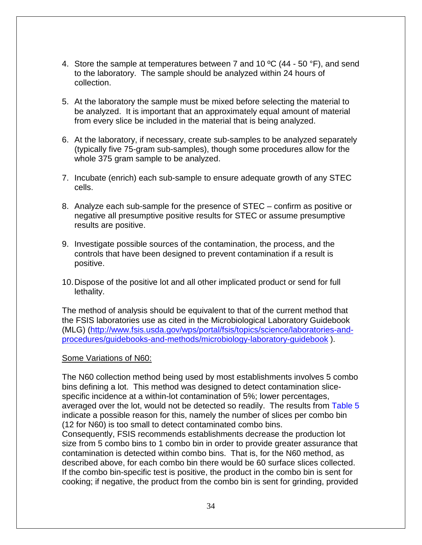- 4. Store the sample at temperatures between 7 and 10  $^{\circ}$ C (44 50  $^{\circ}$ F), and send to the laboratory. The sample should be analyzed within 24 hours of collection.
- 5. At the laboratory the sample must be mixed before selecting the material to be analyzed. It is important that an approximately equal amount of material from every slice be included in the material that is being analyzed.
- 6. At the laboratory, if necessary, create sub-samples to be analyzed separately (typically five 75-gram sub-samples), though some procedures allow for the whole 375 gram sample to be analyzed.
- 7. Incubate (enrich) each sub-sample to ensure adequate growth of any STEC cells.
- 8. Analyze each sub-sample for the presence of STEC confirm as positive or negative all presumptive positive results for STEC or assume presumptive results are positive.
- 9. Investigate possible sources of the contamination, the process, and the controls that have been designed to prevent contamination if a result is positive.
- 10.Dispose of the positive lot and all other implicated product or send for full lethality.

The method of analysis should be equivalent to that of the current method that the FSIS laboratories use as cited in the Microbiological Laboratory Guidebook (MLG) [\(http://www.fsis.usda.gov/wps/portal/fsis/topics/science/laboratories-and](http://www.fsis.usda.gov/wps/portal/fsis/topics/science/laboratories-and-procedures/guidebooks-and-methods/microbiology-laboratory-guidebook)[procedures/guidebooks-and-methods/microbiology-laboratory-guidebook](http://www.fsis.usda.gov/wps/portal/fsis/topics/science/laboratories-and-procedures/guidebooks-and-methods/microbiology-laboratory-guidebook) ).

#### Some Variations of N60:

The N60 collection method being used by most establishments involves 5 combo bins defining a lot. This method was designed to detect contamination slicespecific incidence at a within-lot contamination of 5%; lower percentages, averaged over the lot, would not be detected so readily. The results from [Table 5](#page-31-0) indicate a possible reason for this, namely the number of slices per combo bin (12 for N60) is too small to detect contaminated combo bins.

Consequently, FSIS recommends establishments decrease the production lot size from 5 combo bins to 1 combo bin in order to provide greater assurance that contamination is detected within combo bins. That is, for the N60 method, as described above, for each combo bin there would be 60 surface slices collected. If the combo bin-specific test is positive, the product in the combo bin is sent for cooking; if negative, the product from the combo bin is sent for grinding, provided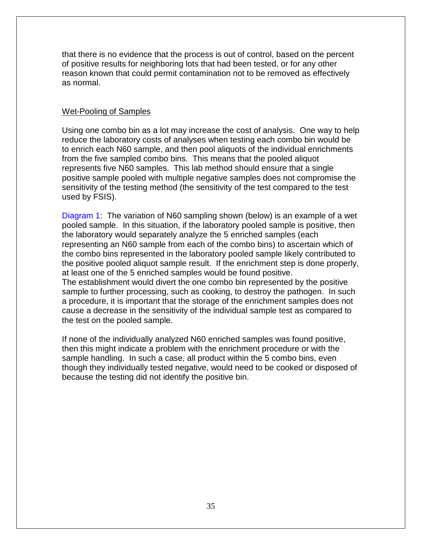that there is no evidence that the process is out of control, based on the percent of positive results for neighboring lots that had been tested, or for any other reason known that could permit contamination not to be removed as effectively as normal.

# Wet-Pooling of Samples

Using one combo bin as a lot may increase the cost of analysis. One way to help reduce the laboratory costs of analyses when testing each combo bin would be to enrich each N60 sample, and then pool aliquots of the individual enrichments from the five sampled combo bins. This means that the pooled aliquot represents five N60 samples. This lab method should ensure that a single positive sample pooled with multiple negative samples does not compromise the sensitivity of the testing method (the sensitivity of the test compared to the test used by FSIS).

[Diagram 1:](#page-35-0) The variation of N60 sampling shown (below) is an example of a wet pooled sample. In this situation, if the laboratory pooled sample is positive, then the laboratory would separately analyze the 5 enriched samples (each representing an N60 sample from each of the combo bins) to ascertain which of the combo bins represented in the laboratory pooled sample likely contributed to the positive pooled aliquot sample result. If the enrichment step is done properly, at least one of the 5 enriched samples would be found positive. The establishment would divert the one combo bin represented by the positive sample to further processing, such as cooking, to destroy the pathogen. In such a procedure, it is important that the storage of the enrichment samples does not cause a decrease in the sensitivity of the individual sample test as compared to the test on the pooled sample.

If none of the individually analyzed N60 enriched samples was found positive, then this might indicate a problem with the enrichment procedure or with the sample handling. In such a case, all product within the 5 combo bins, even though they individually tested negative, would need to be cooked or disposed of because the testing did not identify the positive bin.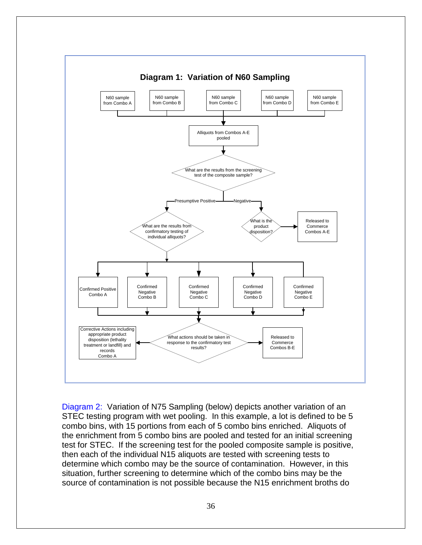<span id="page-35-0"></span>

[Diagram 2:](#page-36-0) Variation of N75 Sampling (below) depicts another variation of an STEC testing program with wet pooling. In this example, a lot is defined to be 5 combo bins, with 15 portions from each of 5 combo bins enriched. Aliquots of the enrichment from 5 combo bins are pooled and tested for an initial screening test for STEC. If the screening test for the pooled composite sample is positive, then each of the individual N15 aliquots are tested with screening tests to determine which combo may be the source of contamination. However, in this situation, further screening to determine which of the combo bins may be the source of contamination is not possible because the N15 enrichment broths do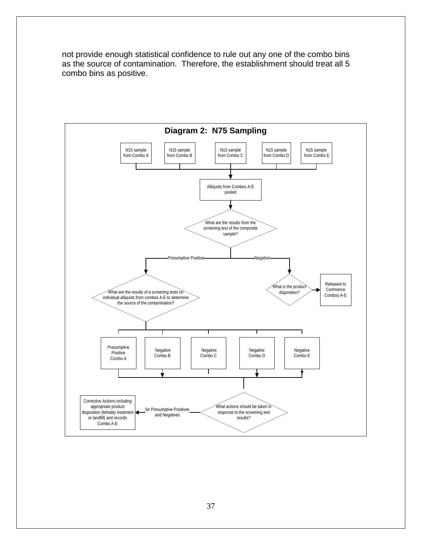not provide enough statistical confidence to rule out any one of the combo bins as the source of contamination. Therefore, the establishment should treat all 5 combo bins as positive.

<span id="page-36-0"></span>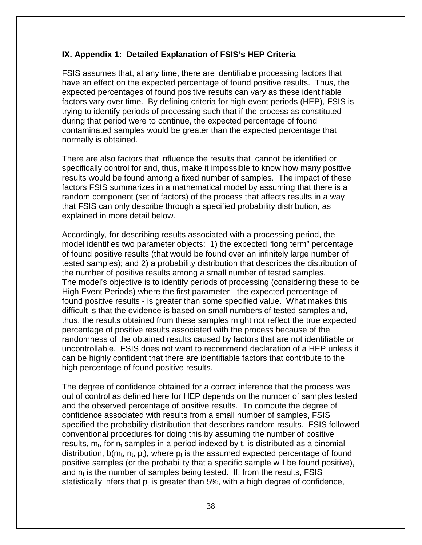### <span id="page-37-0"></span>**IX. Appendix 1: Detailed Explanation of FSIS's HEP Criteria**

FSIS assumes that, at any time, there are identifiable processing factors that have an effect on the expected percentage of found positive results. Thus, the expected percentages of found positive results can vary as these identifiable factors vary over time. By defining criteria for high event periods (HEP), FSIS is trying to identify periods of processing such that if the process as constituted during that period were to continue, the expected percentage of found contaminated samples would be greater than the expected percentage that normally is obtained.

There are also factors that influence the results that cannot be identified or specifically control for and, thus, make it impossible to know how many positive results would be found among a fixed number of samples. The impact of these factors FSIS summarizes in a mathematical model by assuming that there is a random component (set of factors) of the process that affects results in a way that FSIS can only describe through a specified probability distribution, as explained in more detail below.

Accordingly, for describing results associated with a processing period, the model identifies two parameter objects: 1) the expected "long term" percentage of found positive results (that would be found over an infinitely large number of tested samples); and 2) a probability distribution that describes the distribution of the number of positive results among a small number of tested samples. The model's objective is to identify periods of processing (considering these to be High Event Periods) where the first parameter - the expected percentage of found positive results - is greater than some specified value. What makes this difficult is that the evidence is based on small numbers of tested samples and, thus, the results obtained from these samples might not reflect the true expected percentage of positive results associated with the process because of the randomness of the obtained results caused by factors that are not identifiable or uncontrollable. FSIS does not want to recommend declaration of a HEP unless it can be highly confident that there are identifiable factors that contribute to the high percentage of found positive results.

The degree of confidence obtained for a correct inference that the process was out of control as defined here for HEP depends on the number of samples tested and the observed percentage of positive results. To compute the degree of confidence associated with results from a small number of samples, FSIS specified the probability distribution that describes random results. FSIS followed conventional procedures for doing this by assuming the number of positive results,  $m_t$ , for  $n_t$  samples in a period indexed by t, is distributed as a binomial distribution,  $b(m_t, n_t, p_t)$ , where  $p_t$  is the assumed expected percentage of found positive samples (or the probability that a specific sample will be found positive), and  $n_t$  is the number of samples being tested. If, from the results, FSIS statistically infers that  $p_t$  is greater than 5%, with a high degree of confidence,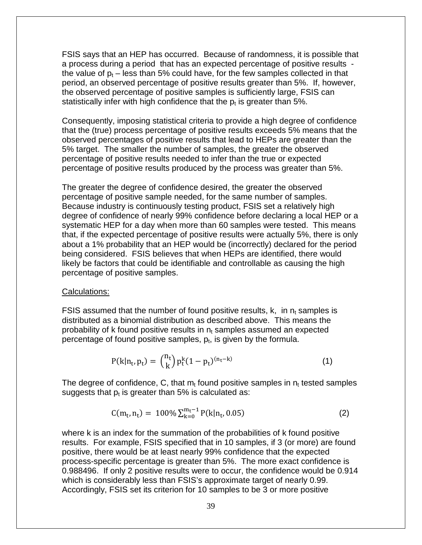FSIS says that an HEP has occurred. Because of randomness, it is possible that a process during a period that has an expected percentage of positive results the value of  $p_t$  – less than 5% could have, for the few samples collected in that period, an observed percentage of positive results greater than 5%. If, however, the observed percentage of positive samples is sufficiently large, FSIS can statistically infer with high confidence that the  $p_t$  is greater than 5%.

Consequently, imposing statistical criteria to provide a high degree of confidence that the (true) process percentage of positive results exceeds 5% means that the observed percentages of positive results that lead to HEPs are greater than the 5% target. The smaller the number of samples, the greater the observed percentage of positive results needed to infer than the true or expected percentage of positive results produced by the process was greater than 5%.

The greater the degree of confidence desired, the greater the observed percentage of positive sample needed, for the same number of samples. Because industry is continuously testing product, FSIS set a relatively high degree of confidence of nearly 99% confidence before declaring a local HEP or a systematic HEP for a day when more than 60 samples were tested. This means that, if the expected percentage of positive results were actually 5%, there is only about a 1% probability that an HEP would be (incorrectly) declared for the period being considered. FSIS believes that when HEPs are identified, there would likely be factors that could be identifiable and controllable as causing the high percentage of positive samples.

#### Calculations:

FSIS assumed that the number of found positive results, k, in  $n_t$  samples is distributed as a binomial distribution as described above. This means the probability of k found positive results in  $n_t$  samples assumed an expected percentage of found positive samples,  $p_t$ , is given by the formula.

$$
P(k|n_t, p_t) = {n_t \choose k} p_t^k (1 - p_t)^{(n_t - k)}
$$
\n(1)

The degree of confidence, C, that  $m_t$  found positive samples in  $n_t$  tested samples suggests that  $p_t$  is greater than 5% is calculated as:

$$
C(m_t, n_t) = 100\% \sum_{k=0}^{m_t-1} P(k|n_t, 0.05)
$$
 (2)

where k is an index for the summation of the probabilities of k found positive results. For example, FSIS specified that in 10 samples, if 3 (or more) are found positive, there would be at least nearly 99% confidence that the expected process-specific percentage is greater than 5%. The more exact confidence is 0.988496. If only 2 positive results were to occur, the confidence would be 0.914 which is considerably less than FSIS's approximate target of nearly 0.99. Accordingly, FSIS set its criterion for 10 samples to be 3 or more positive